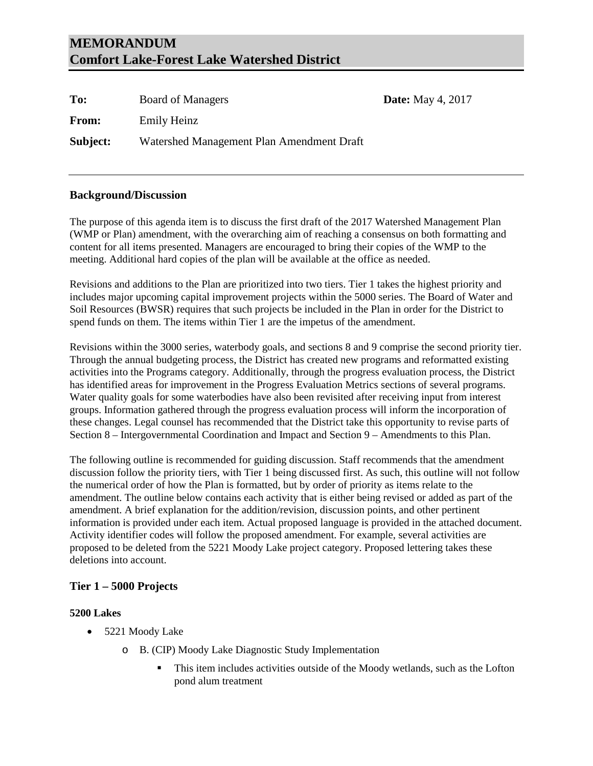| To:      | <b>Board of Managers</b>                  | <b>Date:</b> May 4, 2017 |
|----------|-------------------------------------------|--------------------------|
| From:    | Emily Heinz                               |                          |
| Subject: | Watershed Management Plan Amendment Draft |                          |

# **Background/Discussion**

The purpose of this agenda item is to discuss the first draft of the 2017 Watershed Management Plan (WMP or Plan) amendment, with the overarching aim of reaching a consensus on both formatting and content for all items presented. Managers are encouraged to bring their copies of the WMP to the meeting. Additional hard copies of the plan will be available at the office as needed.

Revisions and additions to the Plan are prioritized into two tiers. Tier 1 takes the highest priority and includes major upcoming capital improvement projects within the 5000 series. The Board of Water and Soil Resources (BWSR) requires that such projects be included in the Plan in order for the District to spend funds on them. The items within Tier 1 are the impetus of the amendment.

Revisions within the 3000 series, waterbody goals, and sections 8 and 9 comprise the second priority tier. Through the annual budgeting process, the District has created new programs and reformatted existing activities into the Programs category. Additionally, through the progress evaluation process, the District has identified areas for improvement in the Progress Evaluation Metrics sections of several programs. Water quality goals for some waterbodies have also been revisited after receiving input from interest groups. Information gathered through the progress evaluation process will inform the incorporation of these changes. Legal counsel has recommended that the District take this opportunity to revise parts of Section 8 – Intergovernmental Coordination and Impact and Section 9 – Amendments to this Plan.

The following outline is recommended for guiding discussion. Staff recommends that the amendment discussion follow the priority tiers, with Tier 1 being discussed first. As such, this outline will not follow the numerical order of how the Plan is formatted, but by order of priority as items relate to the amendment. The outline below contains each activity that is either being revised or added as part of the amendment. A brief explanation for the addition/revision, discussion points, and other pertinent information is provided under each item. Actual proposed language is provided in the attached document. Activity identifier codes will follow the proposed amendment. For example, several activities are proposed to be deleted from the 5221 Moody Lake project category. Proposed lettering takes these deletions into account.

# **Tier 1 – 5000 Projects**

## **5200 Lakes**

- 5221 Moody Lake
	- o B. (CIP) Moody Lake Diagnostic Study Implementation
		- This item includes activities outside of the Moody wetlands, such as the Lofton pond alum treatment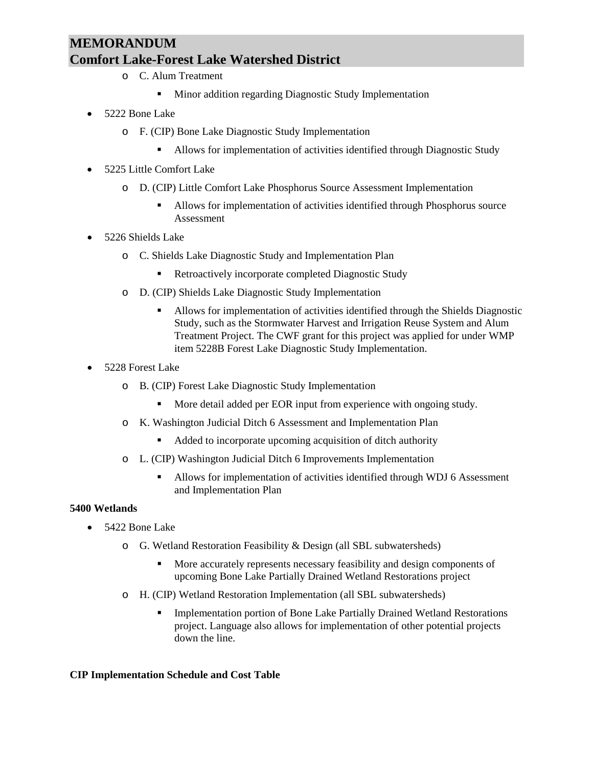- o C. Alum Treatment
	- **Minor addition regarding Diagnostic Study Implementation**
- 5222 Bone Lake
	- o F. (CIP) Bone Lake Diagnostic Study Implementation
		- Allows for implementation of activities identified through Diagnostic Study
- 5225 Little Comfort Lake
	- o D. (CIP) Little Comfort Lake Phosphorus Source Assessment Implementation
		- Allows for implementation of activities identified through Phosphorus source Assessment
- 5226 Shields Lake
	- o C. Shields Lake Diagnostic Study and Implementation Plan
		- Retroactively incorporate completed Diagnostic Study
	- o D. (CIP) Shields Lake Diagnostic Study Implementation
		- Allows for implementation of activities identified through the Shields Diagnostic Study, such as the Stormwater Harvest and Irrigation Reuse System and Alum Treatment Project. The CWF grant for this project was applied for under WMP item 5228B Forest Lake Diagnostic Study Implementation.
- 5228 Forest Lake
	- o B. (CIP) Forest Lake Diagnostic Study Implementation
		- **More detail added per EOR input from experience with ongoing study.**
	- o K. Washington Judicial Ditch 6 Assessment and Implementation Plan
		- Added to incorporate upcoming acquisition of ditch authority
	- o L. (CIP) Washington Judicial Ditch 6 Improvements Implementation
		- Allows for implementation of activities identified through WDJ 6 Assessment and Implementation Plan

## **5400 Wetlands**

- 5422 Bone Lake
	- o G. Wetland Restoration Feasibility & Design (all SBL subwatersheds)
		- More accurately represents necessary feasibility and design components of upcoming Bone Lake Partially Drained Wetland Restorations project
	- o H. (CIP) Wetland Restoration Implementation (all SBL subwatersheds)
		- Implementation portion of Bone Lake Partially Drained Wetland Restorations project. Language also allows for implementation of other potential projects down the line.

## **CIP Implementation Schedule and Cost Table**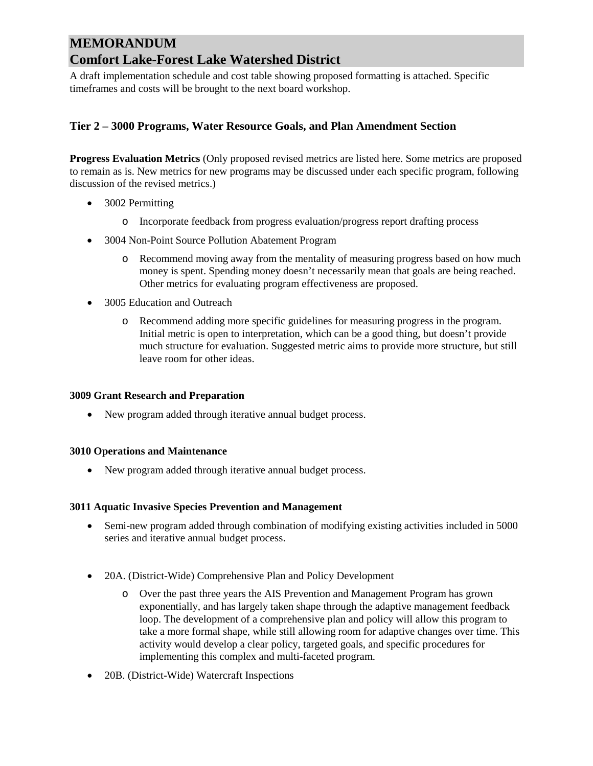A draft implementation schedule and cost table showing proposed formatting is attached. Specific timeframes and costs will be brought to the next board workshop.

# **Tier 2 – 3000 Programs, Water Resource Goals, and Plan Amendment Section**

**Progress Evaluation Metrics** (Only proposed revised metrics are listed here. Some metrics are proposed to remain as is. New metrics for new programs may be discussed under each specific program, following discussion of the revised metrics.)

- 3002 Permitting
	- o Incorporate feedback from progress evaluation/progress report drafting process
- 3004 Non-Point Source Pollution Abatement Program
	- o Recommend moving away from the mentality of measuring progress based on how much money is spent. Spending money doesn't necessarily mean that goals are being reached. Other metrics for evaluating program effectiveness are proposed.
- 3005 Education and Outreach
	- o Recommend adding more specific guidelines for measuring progress in the program. Initial metric is open to interpretation, which can be a good thing, but doesn't provide much structure for evaluation. Suggested metric aims to provide more structure, but still leave room for other ideas.

## **3009 Grant Research and Preparation**

• New program added through iterative annual budget process.

## **3010 Operations and Maintenance**

• New program added through iterative annual budget process.

#### **3011 Aquatic Invasive Species Prevention and Management**

- Semi-new program added through combination of modifying existing activities included in 5000 series and iterative annual budget process.
- 20A. (District-Wide) Comprehensive Plan and Policy Development
	- o Over the past three years the AIS Prevention and Management Program has grown exponentially, and has largely taken shape through the adaptive management feedback loop. The development of a comprehensive plan and policy will allow this program to take a more formal shape, while still allowing room for adaptive changes over time. This activity would develop a clear policy, targeted goals, and specific procedures for implementing this complex and multi-faceted program.
- 20B. (District-Wide) Watercraft Inspections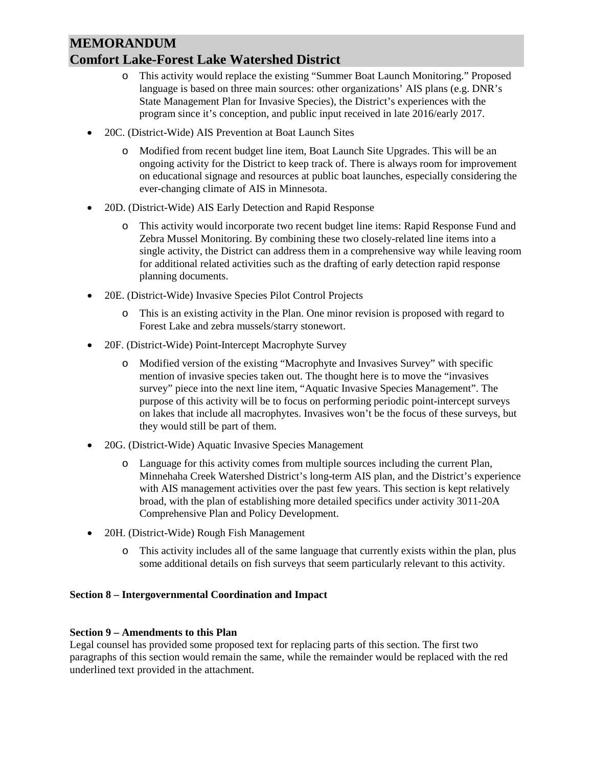- o This activity would replace the existing "Summer Boat Launch Monitoring." Proposed language is based on three main sources: other organizations' AIS plans (e.g. DNR's State Management Plan for Invasive Species), the District's experiences with the program since it's conception, and public input received in late 2016/early 2017.
- 20C. (District-Wide) AIS Prevention at Boat Launch Sites
	- o Modified from recent budget line item, Boat Launch Site Upgrades. This will be an ongoing activity for the District to keep track of. There is always room for improvement on educational signage and resources at public boat launches, especially considering the ever-changing climate of AIS in Minnesota.
- 20D. (District-Wide) AIS Early Detection and Rapid Response
	- o This activity would incorporate two recent budget line items: Rapid Response Fund and Zebra Mussel Monitoring. By combining these two closely-related line items into a single activity, the District can address them in a comprehensive way while leaving room for additional related activities such as the drafting of early detection rapid response planning documents.
- 20E. (District-Wide) Invasive Species Pilot Control Projects
	- o This is an existing activity in the Plan. One minor revision is proposed with regard to Forest Lake and zebra mussels/starry stonewort.
- 20F. (District-Wide) Point-Intercept Macrophyte Survey
	- o Modified version of the existing "Macrophyte and Invasives Survey" with specific mention of invasive species taken out. The thought here is to move the "invasives survey" piece into the next line item, "Aquatic Invasive Species Management". The purpose of this activity will be to focus on performing periodic point-intercept surveys on lakes that include all macrophytes. Invasives won't be the focus of these surveys, but they would still be part of them.
- 20G. (District-Wide) Aquatic Invasive Species Management
	- o Language for this activity comes from multiple sources including the current Plan, Minnehaha Creek Watershed District's long-term AIS plan, and the District's experience with AIS management activities over the past few years. This section is kept relatively broad, with the plan of establishing more detailed specifics under activity 3011-20A Comprehensive Plan and Policy Development.
- 20H. (District-Wide) Rough Fish Management
	- o This activity includes all of the same language that currently exists within the plan, plus some additional details on fish surveys that seem particularly relevant to this activity.

# **Section 8 – Intergovernmental Coordination and Impact**

## **Section 9 – Amendments to this Plan**

Legal counsel has provided some proposed text for replacing parts of this section. The first two paragraphs of this section would remain the same, while the remainder would be replaced with the red underlined text provided in the attachment.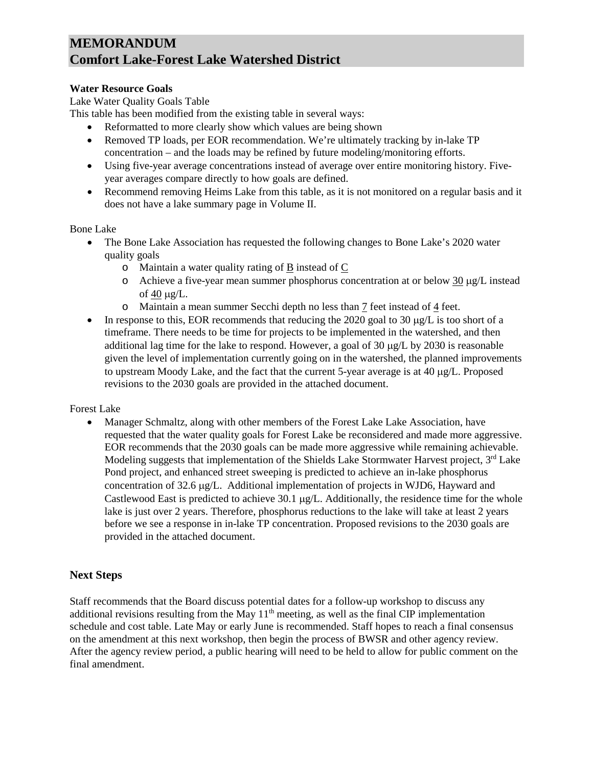# **Water Resource Goals**

Lake Water Quality Goals Table

This table has been modified from the existing table in several ways:

- Reformatted to more clearly show which values are being shown
- Removed TP loads, per EOR recommendation. We're ultimately tracking by in-lake TP concentration – and the loads may be refined by future modeling/monitoring efforts.
- Using five-year average concentrations instead of average over entire monitoring history. Fiveyear averages compare directly to how goals are defined.
- Recommend removing Heims Lake from this table, as it is not monitored on a regular basis and it does not have a lake summary page in Volume II.

## Bone Lake

- The Bone Lake Association has requested the following changes to Bone Lake's 2020 water quality goals
	- o Maintain a water quality rating of B instead of C
	- $\circ$  Achieve a five-year mean summer phosphorus concentration at or below 30  $\mu$ g/L instead of  $40 \mu g/L$ .
	- o Maintain a mean summer Secchi depth no less than 7 feet instead of 4 feet.
- In response to this, EOR recommends that reducing the 2020 goal to 30  $\mu$ g/L is too short of a timeframe. There needs to be time for projects to be implemented in the watershed, and then additional lag time for the lake to respond. However, a goal of 30 µg/L by 2030 is reasonable given the level of implementation currently going on in the watershed, the planned improvements to upstream Moody Lake, and the fact that the current 5-year average is at  $40 \mu g/L$ . Proposed revisions to the 2030 goals are provided in the attached document.

Forest Lake

• Manager Schmaltz, along with other members of the Forest Lake Lake Association, have requested that the water quality goals for Forest Lake be reconsidered and made more aggressive. EOR recommends that the 2030 goals can be made more aggressive while remaining achievable. Modeling suggests that implementation of the Shields Lake Stormwater Harvest project,  $3<sup>rd</sup>$  Lake Pond project, and enhanced street sweeping is predicted to achieve an in-lake phosphorus concentration of 32.6 µg/L. Additional implementation of projects in WJD6, Hayward and Castlewood East is predicted to achieve 30.1 µg/L. Additionally, the residence time for the whole lake is just over 2 years. Therefore, phosphorus reductions to the lake will take at least 2 years before we see a response in in-lake TP concentration. Proposed revisions to the 2030 goals are provided in the attached document.

# **Next Steps**

Staff recommends that the Board discuss potential dates for a follow-up workshop to discuss any additional revisions resulting from the May  $11<sup>th</sup>$  meeting, as well as the final CIP implementation schedule and cost table. Late May or early June is recommended. Staff hopes to reach a final consensus on the amendment at this next workshop, then begin the process of BWSR and other agency review. After the agency review period, a public hearing will need to be held to allow for public comment on the final amendment.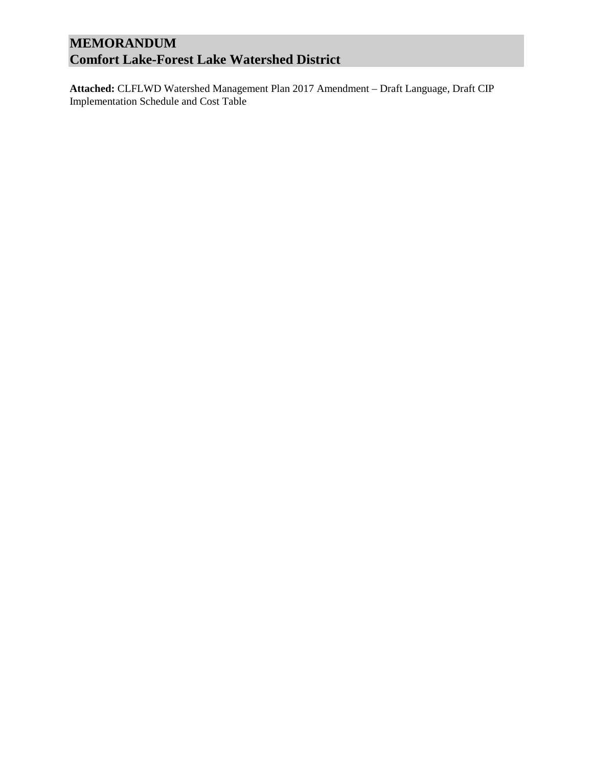**Attached:** CLFLWD Watershed Management Plan 2017 Amendment – Draft Language, Draft CIP Implementation Schedule and Cost Table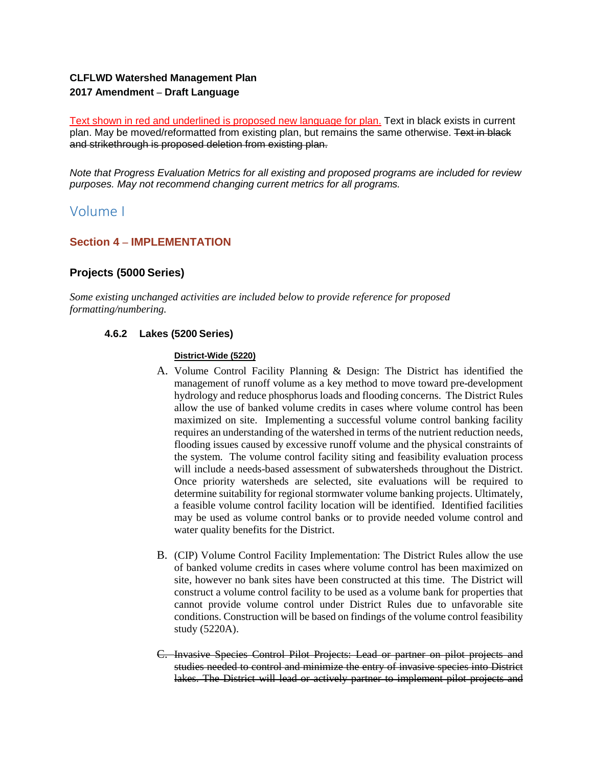# **CLFLWD Watershed Management Plan 2017 Amendment – Draft Language**

Text shown in red and underlined is proposed new language for plan. Text in black exists in current plan. May be moved/reformatted from existing plan, but remains the same otherwise. Text in black and strikethrough is proposed deletion from existing plan.

*Note that Progress Evaluation Metrics for all existing and proposed programs are included for review purposes. May not recommend changing current metrics for all programs.* 

# Volume I

# **Section 4 – IMPLEMENTATION**

# **Projects (5000 Series)**

*Some existing unchanged activities are included below to provide reference for proposed formatting/numbering.* 

# **4.6.2 Lakes (5200 Series)**

#### **District-Wide (5220)**

- A. Volume Control Facility Planning & Design: The District has identified the management of runoff volume as a key method to move toward pre-development hydrology and reduce phosphorus loads and flooding concerns. The District Rules allow the use of banked volume credits in cases where volume control has been maximized on site. Implementing a successful volume control banking facility requires an understanding of the watershed in terms of the nutrient reduction needs, flooding issues caused by excessive runoff volume and the physical constraints of the system. The volume control facility siting and feasibility evaluation process will include a needs-based assessment of subwatersheds throughout the District. Once priority watersheds are selected, site evaluations will be required to determine suitability for regional stormwater volume banking projects. Ultimately, a feasible volume control facility location will be identified. Identified facilities may be used as volume control banks or to provide needed volume control and water quality benefits for the District.
- B. (CIP) Volume Control Facility Implementation: The District Rules allow the use of banked volume credits in cases where volume control has been maximized on site, however no bank sites have been constructed at this time. The District will construct a volume control facility to be used as a volume bank for properties that cannot provide volume control under District Rules due to unfavorable site conditions. Construction will be based on findings of the volume control feasibility study (5220A).
- C. Invasive Species Control Pilot Projects: Lead or partner on pilot projects and studies needed to control and minimize the entry of invasive species into District lakes. The District will lead or actively partner to implement pilot projects and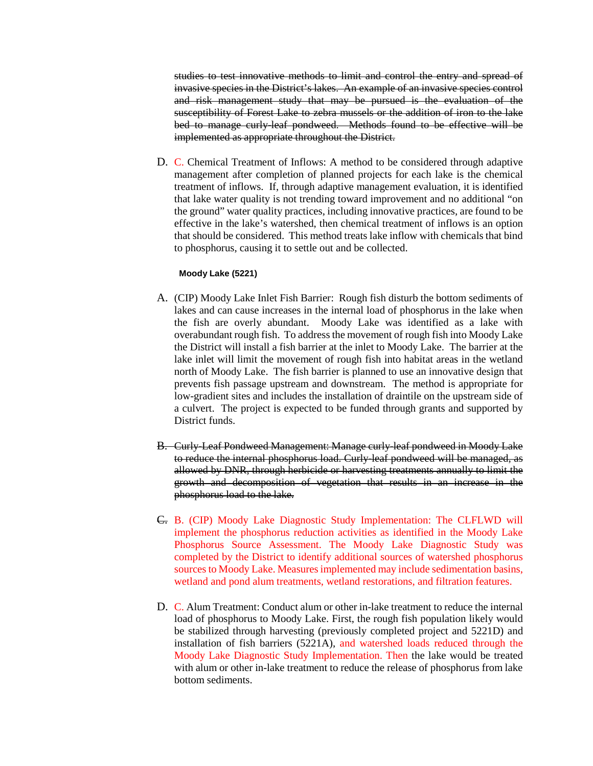studies to test innovative methods to limit and control the entry and spread of invasive species in the District's lakes. An example of an invasive species control and risk management study that may be pursued is the evaluation of the susceptibility of Forest Lake to zebra mussels or the addition of iron to the lake bed to manage curly-leaf pondweed. Methods found to be effective will be implemented as appropriate throughout the District.

D. C. Chemical Treatment of Inflows: A method to be considered through adaptive management after completion of planned projects for each lake is the chemical treatment of inflows. If, through adaptive management evaluation, it is identified that lake water quality is not trending toward improvement and no additional "on the ground" water quality practices, including innovative practices, are found to be effective in the lake's watershed, then chemical treatment of inflows is an option that should be considered. This method treats lake inflow with chemicals that bind to phosphorus, causing it to settle out and be collected.

#### **Moody Lake (5221)**

- A. (CIP) Moody Lake Inlet Fish Barrier: Rough fish disturb the bottom sediments of lakes and can cause increases in the internal load of phosphorus in the lake when the fish are overly abundant. Moody Lake was identified as a lake with overabundant rough fish. To address the movement of rough fish into Moody Lake the District will install a fish barrier at the inlet to Moody Lake. The barrier at the lake inlet will limit the movement of rough fish into habitat areas in the wetland north of Moody Lake. The fish barrier is planned to use an innovative design that prevents fish passage upstream and downstream. The method is appropriate for low-gradient sites and includes the installation of draintile on the upstream side of a culvert. The project is expected to be funded through grants and supported by District funds.
- B. Curly-Leaf Pondweed Management: Manage curly-leaf pondweed in Moody Lake to reduce the internal phosphorus load. Curly-leaf pondweed will be managed, as allowed by DNR, through herbicide or harvesting treatments annually to limit the growth and decomposition of vegetation that results in an increase in the phosphorus load to the lake.
- C. B. (CIP) Moody Lake Diagnostic Study Implementation: The CLFLWD will implement the phosphorus reduction activities as identified in the Moody Lake Phosphorus Source Assessment. The Moody Lake Diagnostic Study was completed by the District to identify additional sources of watershed phosphorus sources to Moody Lake. Measures implemented may include sedimentation basins, wetland and pond alum treatments, wetland restorations, and filtration features.
- D. C. Alum Treatment: Conduct alum or other in-lake treatment to reduce the internal load of phosphorus to Moody Lake. First, the rough fish population likely would be stabilized through harvesting (previously completed project and 5221D) and installation of fish barriers (5221A), and watershed loads reduced through the Moody Lake Diagnostic Study Implementation. Then the lake would be treated with alum or other in-lake treatment to reduce the release of phosphorus from lake bottom sediments.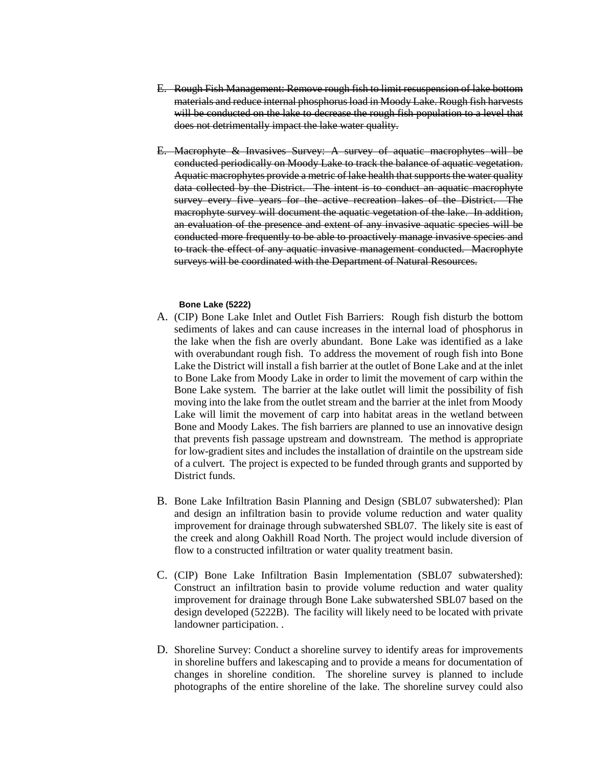- E. Rough Fish Management: Remove rough fish to limit resuspension of lake bottom materials and reduce internal phosphorus load in Moody Lake. Rough fish harvests will be conducted on the lake to decrease the rough fish population to a level that does not detrimentally impact the lake water quality.
- E. Macrophyte & Invasives Survey: A survey of aquatic macrophytes will be conducted periodically on Moody Lake to track the balance of aquatic vegetation. Aquatic macrophytes provide a metric of lake health that supports the water quality data collected by the District. The intent is to conduct an aquatic macrophyte survey every five years for the active recreation lakes of the District. The macrophyte survey will document the aquatic vegetation of the lake. In addition, an evaluation of the presence and extent of any invasive aquatic species will be conducted more frequently to be able to proactively manage invasive species and to track the effect of any aquatic invasive management conducted. Macrophyte surveys will be coordinated with the Department of Natural Resources.

#### **Bone Lake (5222)**

- A. (CIP) Bone Lake Inlet and Outlet Fish Barriers: Rough fish disturb the bottom sediments of lakes and can cause increases in the internal load of phosphorus in the lake when the fish are overly abundant. Bone Lake was identified as a lake with overabundant rough fish. To address the movement of rough fish into Bone Lake the District will install a fish barrier at the outlet of Bone Lake and at the inlet to Bone Lake from Moody Lake in order to limit the movement of carp within the Bone Lake system. The barrier at the lake outlet will limit the possibility of fish moving into the lake from the outlet stream and the barrier at the inlet from Moody Lake will limit the movement of carp into habitat areas in the wetland between Bone and Moody Lakes. The fish barriers are planned to use an innovative design that prevents fish passage upstream and downstream. The method is appropriate for low-gradient sites and includes the installation of draintile on the upstream side of a culvert. The project is expected to be funded through grants and supported by District funds.
- B. Bone Lake Infiltration Basin Planning and Design (SBL07 subwatershed): Plan and design an infiltration basin to provide volume reduction and water quality improvement for drainage through subwatershed SBL07. The likely site is east of the creek and along Oakhill Road North. The project would include diversion of flow to a constructed infiltration or water quality treatment basin.
- C. (CIP) Bone Lake Infiltration Basin Implementation (SBL07 subwatershed): Construct an infiltration basin to provide volume reduction and water quality improvement for drainage through Bone Lake subwatershed SBL07 based on the design developed (5222B). The facility will likely need to be located with private landowner participation. .
- D. Shoreline Survey: Conduct a shoreline survey to identify areas for improvements in shoreline buffers and lakescaping and to provide a means for documentation of changes in shoreline condition. The shoreline survey is planned to include photographs of the entire shoreline of the lake. The shoreline survey could also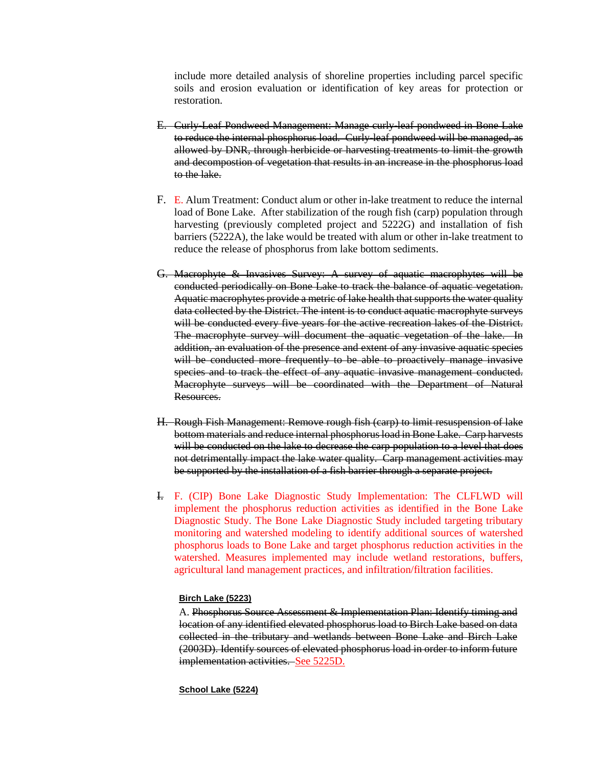include more detailed analysis of shoreline properties including parcel specific soils and erosion evaluation or identification of key areas for protection or restoration.

- E. Curly-Leaf Pondweed Management: Manage curly-leaf pondweed in Bone Lake to reduce the internal phosphorus load. Curly-leaf pondweed will be managed, as allowed by DNR, through herbicide or harvesting treatments to limit the growth and decompostion of vegetation that results in an increase in the phosphorus load to the lake.
- F. E. Alum Treatment: Conduct alum or other in-lake treatment to reduce the internal load of Bone Lake. After stabilization of the rough fish (carp) population through harvesting (previously completed project and 5222G) and installation of fish barriers (5222A), the lake would be treated with alum or other in-lake treatment to reduce the release of phosphorus from lake bottom sediments.
- G. Macrophyte & Invasives Survey: A survey of aquatic macrophytes will be conducted periodically on Bone Lake to track the balance of aquatic vegetation. Aquatic macrophytes provide a metric of lake health that supports the water quality data collected by the District. The intent is to conduct aquatic macrophyte surveys will be conducted every five years for the active recreation lakes of the District. The macrophyte survey will document the aquatic vegetation of the lake. In addition, an evaluation of the presence and extent of any invasive aquatic species will be conducted more frequently to be able to proactively manage invasive species and to track the effect of any aquatic invasive management conducted. Macrophyte surveys will be coordinated with the Department of Natural Resources.
- H. Rough Fish Management: Remove rough fish (carp) to limit resuspension of lake bottom materials and reduce internal phosphorus load in Bone Lake. Carp harvests will be conducted on the lake to decrease the carp population to a level that does not detrimentally impact the lake water quality. Carp management activities may be supported by the installation of a fish barrier through a separate project.
- I. F. (CIP) Bone Lake Diagnostic Study Implementation: The CLFLWD will implement the phosphorus reduction activities as identified in the Bone Lake Diagnostic Study. The Bone Lake Diagnostic Study included targeting tributary monitoring and watershed modeling to identify additional sources of watershed phosphorus loads to Bone Lake and target phosphorus reduction activities in the watershed. Measures implemented may include wetland restorations, buffers, agricultural land management practices, and infiltration/filtration facilities.

#### **Birch Lake (5223)**

A. Phosphorus Source Assessment & Implementation Plan: Identify timing and location of any identified elevated phosphorus load to Birch Lake based on data collected in the tributary and wetlands between Bone Lake and Birch Lake (2003D). Identify sources of elevated phosphorus load in order to inform future implementation activities. See 5225D.

#### **School Lake (5224)**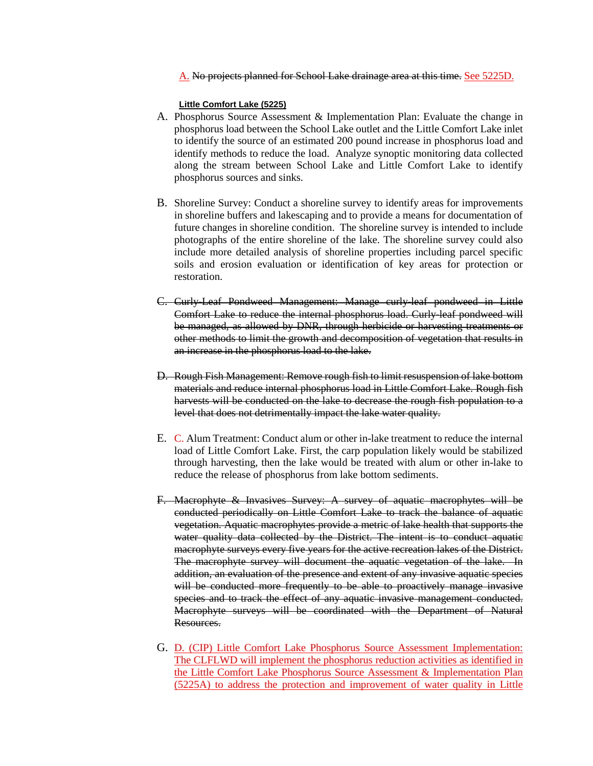A. No projects planned for School Lake drainage area at this time. See 5225D.

#### **Little Comfort Lake (5225)**

- A. Phosphorus Source Assessment & Implementation Plan: Evaluate the change in phosphorus load between the School Lake outlet and the Little Comfort Lake inlet to identify the source of an estimated 200 pound increase in phosphorus load and identify methods to reduce the load. Analyze synoptic monitoring data collected along the stream between School Lake and Little Comfort Lake to identify phosphorus sources and sinks.
- B. Shoreline Survey: Conduct a shoreline survey to identify areas for improvements in shoreline buffers and lakescaping and to provide a means for documentation of future changes in shoreline condition. The shoreline survey is intended to include photographs of the entire shoreline of the lake. The shoreline survey could also include more detailed analysis of shoreline properties including parcel specific soils and erosion evaluation or identification of key areas for protection or restoration.
- C. Curly-Leaf Pondweed Management: Manage curly-leaf pondweed in Little Comfort Lake to reduce the internal phosphorus load. Curly-leaf pondweed will be managed, as allowed by DNR, through herbicide or harvesting treatments or other methods to limit the growth and decomposition of vegetation that results in an increase in the phosphorus load to the lake.
- D. Rough Fish Management: Remove rough fish to limit resuspension of lake bottom materials and reduce internal phosphorus load in Little Comfort Lake. Rough fish harvests will be conducted on the lake to decrease the rough fish population to a level that does not detrimentally impact the lake water quality.
- E. C. Alum Treatment: Conduct alum or other in-lake treatment to reduce the internal load of Little Comfort Lake. First, the carp population likely would be stabilized through harvesting, then the lake would be treated with alum or other in-lake to reduce the release of phosphorus from lake bottom sediments.
- F. Macrophyte & Invasives Survey: A survey of aquatic macrophytes will be conducted periodically on Little Comfort Lake to track the balance of aquatic vegetation. Aquatic macrophytes provide a metric of lake health that supports the water quality data collected by the District. The intent is to conduct aquatic macrophyte surveys every five years for the active recreation lakes of the District. The macrophyte survey will document the aquatic vegetation of the lake. In addition, an evaluation of the presence and extent of any invasive aquatic species will be conducted more frequently to be able to proactively manage invasive species and to track the effect of any aquatic invasive management conducted. Macrophyte surveys will be coordinated with the Department of Natural Resources.
- G. D. (CIP) Little Comfort Lake Phosphorus Source Assessment Implementation: The CLFLWD will implement the phosphorus reduction activities as identified in the Little Comfort Lake Phosphorus Source Assessment & Implementation Plan (5225A) to address the protection and improvement of water quality in Little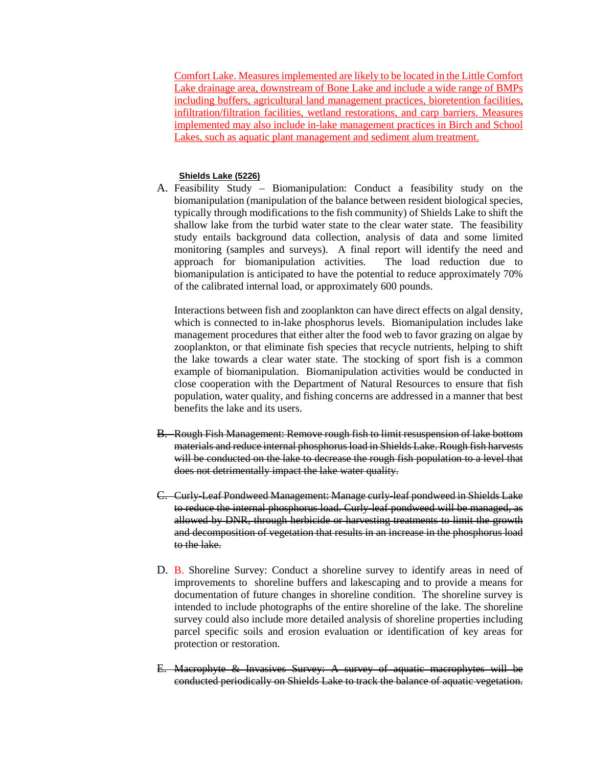Comfort Lake. Measures implemented are likely to be located in the Little Comfort Lake drainage area, downstream of Bone Lake and include a wide range of BMPs including buffers, agricultural land management practices, bioretention facilities, infiltration/filtration facilities, wetland restorations, and carp barriers. Measures implemented may also include in-lake management practices in Birch and School Lakes, such as aquatic plant management and sediment alum treatment.

## **Shields Lake (5226)**

A. Feasibility Study – Biomanipulation: Conduct a feasibility study on the biomanipulation (manipulation of the balance between resident biological species, typically through modifications to the fish community) of Shields Lake to shift the shallow lake from the turbid water state to the clear water state. The feasibility study entails background data collection, analysis of data and some limited monitoring (samples and surveys). A final report will identify the need and approach for biomanipulation activities. The load reduction due to biomanipulation is anticipated to have the potential to reduce approximately 70% of the calibrated internal load, or approximately 600 pounds.

Interactions between fish and zooplankton can have direct effects on algal density, which is connected to in-lake phosphorus levels. Biomanipulation includes lake management procedures that either alter the food web to favor grazing on algae by zooplankton, or that eliminate fish species that recycle nutrients, helping to shift the lake towards a clear water state. The stocking of sport fish is a common example of biomanipulation. Biomanipulation activities would be conducted in close cooperation with the Department of Natural Resources to ensure that fish population, water quality, and fishing concerns are addressed in a manner that best benefits the lake and its users.

- B. Rough Fish Management: Remove rough fish to limit resuspension of lake bottom materials and reduce internal phosphorus load in Shields Lake. Rough fish harvests will be conducted on the lake to decrease the rough fish population to a level that does not detrimentally impact the lake water quality.
- C. Curly-Leaf Pondweed Management: Manage curly-leaf pondweed in Shields Lake to reduce the internal phosphorus load. Curly-leaf pondweed will be managed, as allowed by DNR, through herbicide or harvesting treatments to limit the growth and decomposition of vegetation that results in an increase in the phosphorus load to the lake.
- D. B. Shoreline Survey: Conduct a shoreline survey to identify areas in need of improvements to shoreline buffers and lakescaping and to provide a means for documentation of future changes in shoreline condition. The shoreline survey is intended to include photographs of the entire shoreline of the lake. The shoreline survey could also include more detailed analysis of shoreline properties including parcel specific soils and erosion evaluation or identification of key areas for protection or restoration.
- E. Macrophyte & Invasives Survey: A survey of aquatic macrophytes will be conducted periodically on Shields Lake to track the balance of aquatic vegetation.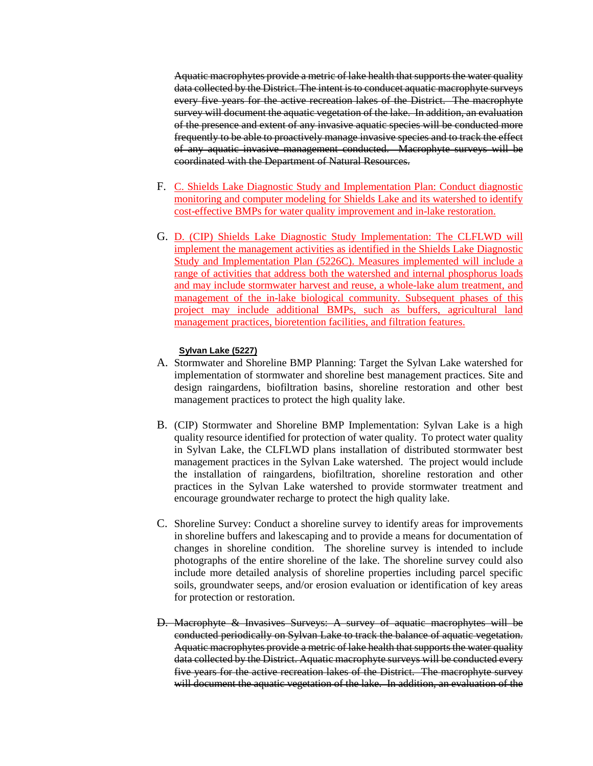Aquatic macrophytes provide a metric of lake health that supports the water quality data collected by the District. The intent is to conducet aquatic macrophyte surveys every five years for the active recreation lakes of the District. The macrophyte survey will document the aquatic vegetation of the lake. In addition, an evaluation of the presence and extent of any invasive aquatic species will be conducted more frequently to be able to proactively manage invasive species and to track the effect of any aquatic invasive management conducted. Macrophyte surveys will be coordinated with the Department of Natural Resources.

- F. C. Shields Lake Diagnostic Study and Implementation Plan: Conduct diagnostic monitoring and computer modeling for Shields Lake and its watershed to identify cost-effective BMPs for water quality improvement and in-lake restoration.
- G. D. (CIP) Shields Lake Diagnostic Study Implementation: The CLFLWD will implement the management activities as identified in the Shields Lake Diagnostic Study and Implementation Plan (5226C). Measures implemented will include a range of activities that address both the watershed and internal phosphorus loads and may include stormwater harvest and reuse, a whole-lake alum treatment, and management of the in-lake biological community. Subsequent phases of this project may include additional BMPs, such as buffers, agricultural land management practices, bioretention facilities, and filtration features.

#### **Sylvan Lake (5227)**

- A. Stormwater and Shoreline BMP Planning: Target the Sylvan Lake watershed for implementation of stormwater and shoreline best management practices. Site and design raingardens, biofiltration basins, shoreline restoration and other best management practices to protect the high quality lake.
- B. (CIP) Stormwater and Shoreline BMP Implementation: Sylvan Lake is a high quality resource identified for protection of water quality. To protect water quality in Sylvan Lake, the CLFLWD plans installation of distributed stormwater best management practices in the Sylvan Lake watershed. The project would include the installation of raingardens, biofiltration, shoreline restoration and other practices in the Sylvan Lake watershed to provide stormwater treatment and encourage groundwater recharge to protect the high quality lake.
- C. Shoreline Survey: Conduct a shoreline survey to identify areas for improvements in shoreline buffers and lakescaping and to provide a means for documentation of changes in shoreline condition. The shoreline survey is intended to include photographs of the entire shoreline of the lake. The shoreline survey could also include more detailed analysis of shoreline properties including parcel specific soils, groundwater seeps, and/or erosion evaluation or identification of key areas for protection or restoration.
- D. Macrophyte & Invasives Surveys: A survey of aquatic macrophytes will be conducted periodically on Sylvan Lake to track the balance of aquatic vegetation. Aquatic macrophytes provide a metric of lake health that supports the water quality data collected by the District. Aquatic macrophyte surveys will be conducted every five years for the active recreation lakes of the District. The macrophyte survey will document the aquatic vegetation of the lake. In addition, an evaluation of the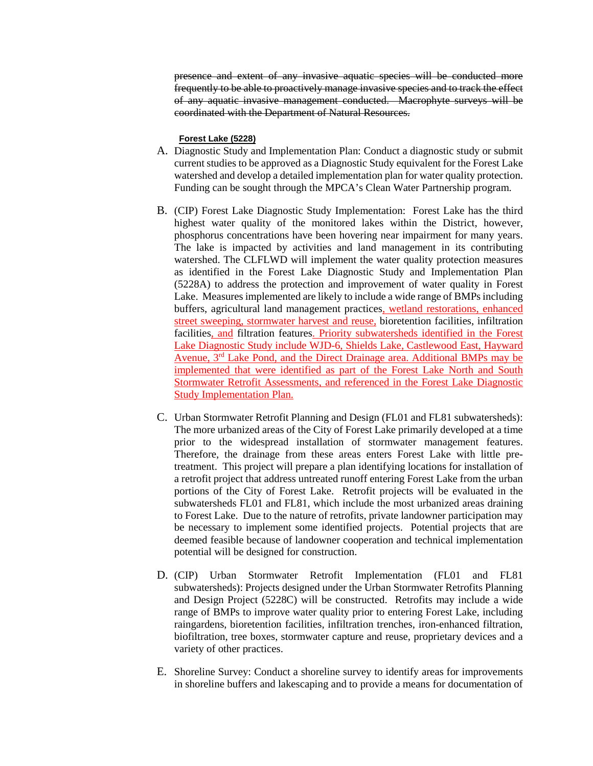presence and extent of any invasive aquatic species will be conducted more frequently to be able to proactively manage invasive species and to track the effect of any aquatic invasive management conducted. Macrophyte surveys will be coordinated with the Department of Natural Resources.

### **Forest Lake (5228)**

- A. Diagnostic Study and Implementation Plan: Conduct a diagnostic study or submit current studies to be approved as a Diagnostic Study equivalent for the Forest Lake watershed and develop a detailed implementation plan for water quality protection. Funding can be sought through the MPCA's Clean Water Partnership program.
- B. (CIP) Forest Lake Diagnostic Study Implementation: Forest Lake has the third highest water quality of the monitored lakes within the District, however, phosphorus concentrations have been hovering near impairment for many years. The lake is impacted by activities and land management in its contributing watershed. The CLFLWD will implement the water quality protection measures as identified in the Forest Lake Diagnostic Study and Implementation Plan (5228A) to address the protection and improvement of water quality in Forest Lake. Measures implemented are likely to include a wide range of BMPs including buffers, agricultural land management practices, wetland restorations, enhanced street sweeping, stormwater harvest and reuse, bioretention facilities, infiltration facilities, and filtration features. Priority subwatersheds identified in the Forest Lake Diagnostic Study include WJD-6, Shields Lake, Castlewood East, Hayward Avenue, 3rd Lake Pond, and the Direct Drainage area. Additional BMPs may be implemented that were identified as part of the Forest Lake North and South Stormwater Retrofit Assessments, and referenced in the Forest Lake Diagnostic Study Implementation Plan.
- C. Urban Stormwater Retrofit Planning and Design (FL01 and FL81 subwatersheds): The more urbanized areas of the City of Forest Lake primarily developed at a time prior to the widespread installation of stormwater management features. Therefore, the drainage from these areas enters Forest Lake with little pretreatment. This project will prepare a plan identifying locations for installation of a retrofit project that address untreated runoff entering Forest Lake from the urban portions of the City of Forest Lake. Retrofit projects will be evaluated in the subwatersheds FL01 and FL81, which include the most urbanized areas draining to Forest Lake. Due to the nature of retrofits, private landowner participation may be necessary to implement some identified projects. Potential projects that are deemed feasible because of landowner cooperation and technical implementation potential will be designed for construction.
- D. (CIP) Urban Stormwater Retrofit Implementation (FL01 and FL81 subwatersheds): Projects designed under the Urban Stormwater Retrofits Planning and Design Project (5228C) will be constructed. Retrofits may include a wide range of BMPs to improve water quality prior to entering Forest Lake, including raingardens, bioretention facilities, infiltration trenches, iron-enhanced filtration, biofiltration, tree boxes, stormwater capture and reuse, proprietary devices and a variety of other practices.
- E. Shoreline Survey: Conduct a shoreline survey to identify areas for improvements in shoreline buffers and lakescaping and to provide a means for documentation of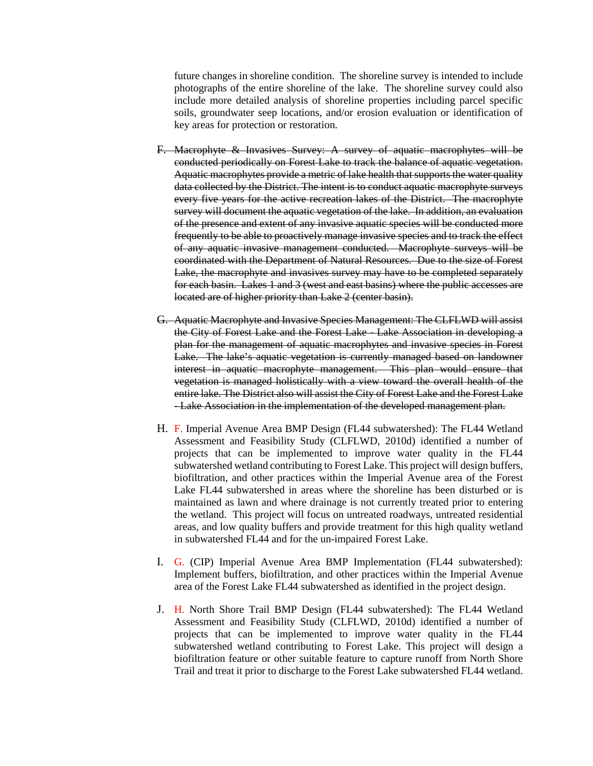future changes in shoreline condition. The shoreline survey is intended to include photographs of the entire shoreline of the lake. The shoreline survey could also include more detailed analysis of shoreline properties including parcel specific soils, groundwater seep locations, and/or erosion evaluation or identification of key areas for protection or restoration.

- F. Macrophyte & Invasives Survey: A survey of aquatic macrophytes will be conducted periodically on Forest Lake to track the balance of aquatic vegetation. Aquatic macrophytes provide a metric of lake health that supports the water quality data collected by the District. The intent is to conduct aquatic macrophyte surveys every five years for the active recreation lakes of the District. The macrophyte survey will document the aquatic vegetation of the lake. In addition, an evaluation of the presence and extent of any invasive aquatic species will be conducted more frequently to be able to proactively manage invasive species and to track the effect of any aquatic invasive management conducted. Macrophyte surveys will be coordinated with the Department of Natural Resources. Due to the size of Forest Lake, the macrophyte and invasives survey may have to be completed separately for each basin. Lakes 1 and 3 (west and east basins) where the public accesses are located are of higher priority than Lake 2 (center basin).
- G. Aquatic Macrophyte and Invasive Species Management: The CLFLWD will assist the City of Forest Lake and the Forest Lake - Lake Association in developing a plan for the management of aquatic macrophytes and invasive species in Forest Lake. The lake's aquatic vegetation is currently managed based on landowner interest in aquatic macrophyte management. This plan would ensure that vegetation is managed holistically with a view toward the overall health of the entire lake. The District also will assist the City of Forest Lake and the Forest Lake - Lake Association in the implementation of the developed management plan.
- H. F. Imperial Avenue Area BMP Design (FL44 subwatershed): The FL44 Wetland Assessment and Feasibility Study (CLFLWD, 2010d) identified a number of projects that can be implemented to improve water quality in the FL44 subwatershed wetland contributing to Forest Lake. This project will design buffers, biofiltration, and other practices within the Imperial Avenue area of the Forest Lake FL44 subwatershed in areas where the shoreline has been disturbed or is maintained as lawn and where drainage is not currently treated prior to entering the wetland. This project will focus on untreated roadways, untreated residential areas, and low quality buffers and provide treatment for this high quality wetland in subwatershed FL44 and for the un-impaired Forest Lake.
- I. G. (CIP) Imperial Avenue Area BMP Implementation (FL44 subwatershed): Implement buffers, biofiltration, and other practices within the Imperial Avenue area of the Forest Lake FL44 subwatershed as identified in the project design.
- J. H. North Shore Trail BMP Design (FL44 subwatershed): The FL44 Wetland Assessment and Feasibility Study (CLFLWD, 2010d) identified a number of projects that can be implemented to improve water quality in the FL44 subwatershed wetland contributing to Forest Lake. This project will design a biofiltration feature or other suitable feature to capture runoff from North Shore Trail and treat it prior to discharge to the Forest Lake subwatershed FL44 wetland.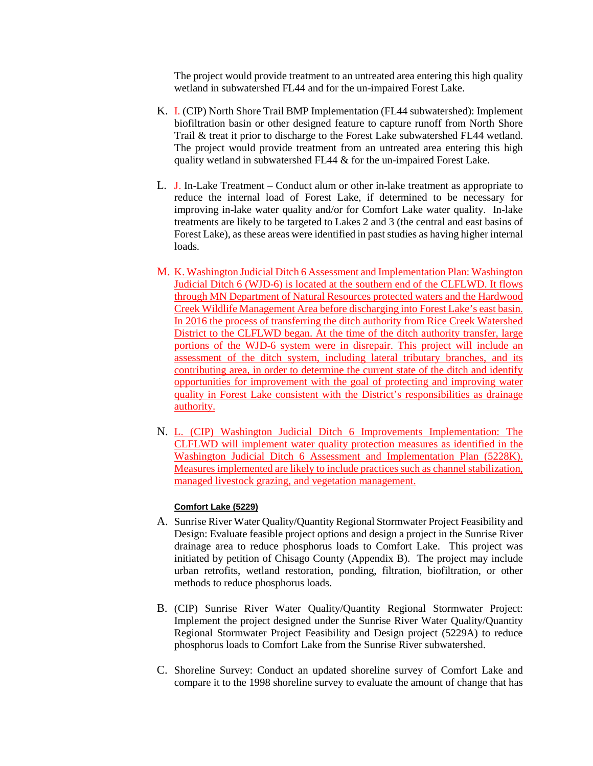The project would provide treatment to an untreated area entering this high quality wetland in subwatershed FL44 and for the un-impaired Forest Lake.

- K. I. (CIP) North Shore Trail BMP Implementation (FL44 subwatershed): Implement biofiltration basin or other designed feature to capture runoff from North Shore Trail & treat it prior to discharge to the Forest Lake subwatershed FL44 wetland. The project would provide treatment from an untreated area entering this high quality wetland in subwatershed FL44 & for the un-impaired Forest Lake.
- L. J. In-Lake Treatment Conduct alum or other in-lake treatment as appropriate to reduce the internal load of Forest Lake, if determined to be necessary for improving in-lake water quality and/or for Comfort Lake water quality. In-lake treatments are likely to be targeted to Lakes 2 and 3 (the central and east basins of Forest Lake), as these areas were identified in past studies as having higher internal loads.
- M. K. Washington Judicial Ditch 6 Assessment and Implementation Plan: Washington Judicial Ditch 6 (WJD-6) is located at the southern end of the CLFLWD. It flows through MN Department of Natural Resources protected waters and the Hardwood Creek Wildlife Management Area before discharging into Forest Lake's east basin. In 2016 the process of transferring the ditch authority from Rice Creek Watershed District to the CLFLWD began. At the time of the ditch authority transfer, large portions of the WJD-6 system were in disrepair. This project will include an assessment of the ditch system, including lateral tributary branches, and its contributing area, in order to determine the current state of the ditch and identify opportunities for improvement with the goal of protecting and improving water quality in Forest Lake consistent with the District's responsibilities as drainage authority.
- N. L. (CIP) Washington Judicial Ditch 6 Improvements Implementation: The CLFLWD will implement water quality protection measures as identified in the Washington Judicial Ditch 6 Assessment and Implementation Plan (5228K). Measures implemented are likely to include practices such as channel stabilization, managed livestock grazing, and vegetation management.

### **Comfort Lake (5229)**

- A. Sunrise River Water Quality/Quantity Regional Stormwater Project Feasibility and Design: Evaluate feasible project options and design a project in the Sunrise River drainage area to reduce phosphorus loads to Comfort Lake. This project was initiated by petition of Chisago County (Appendix B). The project may include urban retrofits, wetland restoration, ponding, filtration, biofiltration, or other methods to reduce phosphorus loads.
- B. (CIP) Sunrise River Water Quality/Quantity Regional Stormwater Project: Implement the project designed under the Sunrise River Water Quality/Quantity Regional Stormwater Project Feasibility and Design project (5229A) to reduce phosphorus loads to Comfort Lake from the Sunrise River subwatershed.
- C. Shoreline Survey: Conduct an updated shoreline survey of Comfort Lake and compare it to the 1998 shoreline survey to evaluate the amount of change that has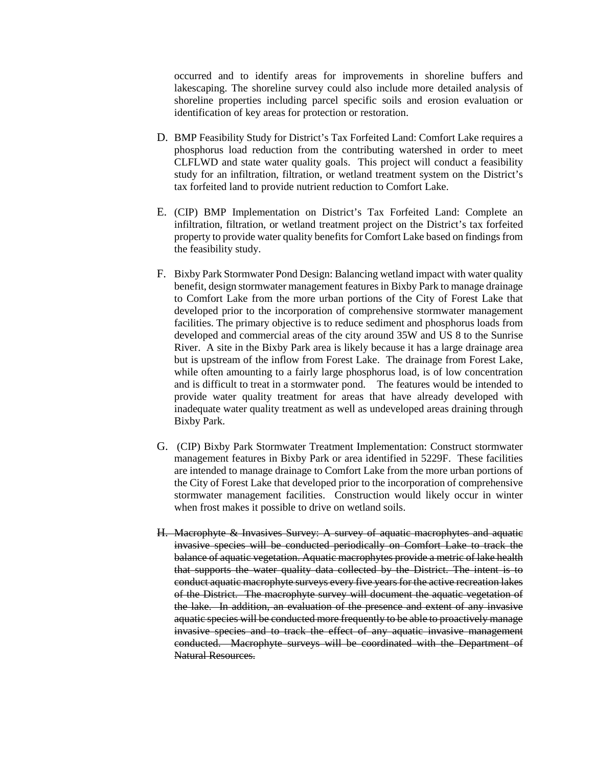occurred and to identify areas for improvements in shoreline buffers and lakescaping. The shoreline survey could also include more detailed analysis of shoreline properties including parcel specific soils and erosion evaluation or identification of key areas for protection or restoration.

- D. BMP Feasibility Study for District's Tax Forfeited Land: Comfort Lake requires a phosphorus load reduction from the contributing watershed in order to meet CLFLWD and state water quality goals. This project will conduct a feasibility study for an infiltration, filtration, or wetland treatment system on the District's tax forfeited land to provide nutrient reduction to Comfort Lake.
- E. (CIP) BMP Implementation on District's Tax Forfeited Land: Complete an infiltration, filtration, or wetland treatment project on the District's tax forfeited property to provide water quality benefits for Comfort Lake based on findings from the feasibility study.
- F. Bixby Park Stormwater Pond Design: Balancing wetland impact with water quality benefit, design stormwater management features in Bixby Park to manage drainage to Comfort Lake from the more urban portions of the City of Forest Lake that developed prior to the incorporation of comprehensive stormwater management facilities. The primary objective is to reduce sediment and phosphorus loads from developed and commercial areas of the city around 35W and US 8 to the Sunrise River. A site in the Bixby Park area is likely because it has a large drainage area but is upstream of the inflow from Forest Lake. The drainage from Forest Lake, while often amounting to a fairly large phosphorus load, is of low concentration and is difficult to treat in a stormwater pond. The features would be intended to provide water quality treatment for areas that have already developed with inadequate water quality treatment as well as undeveloped areas draining through Bixby Park.
- G. (CIP) Bixby Park Stormwater Treatment Implementation: Construct stormwater management features in Bixby Park or area identified in 5229F. These facilities are intended to manage drainage to Comfort Lake from the more urban portions of the City of Forest Lake that developed prior to the incorporation of comprehensive stormwater management facilities. Construction would likely occur in winter when frost makes it possible to drive on wetland soils.
- H. Macrophyte & Invasives Survey: A survey of aquatic macrophytes and aquatic invasive species will be conducted periodically on Comfort Lake to track the balance of aquatic vegetation. Aquatic macrophytes provide a metric of lake health that supports the water quality data collected by the District. The intent is to conduct aquatic macrophyte surveys every five years for the active recreation lakes of the District. The macrophyte survey will document the aquatic vegetation of the lake. In addition, an evaluation of the presence and extent of any invasive aquatic species will be conducted more frequently to be able to proactively manage invasive species and to track the effect of any aquatic invasive management conducted. Macrophyte surveys will be coordinated with the Department of Natural Resources.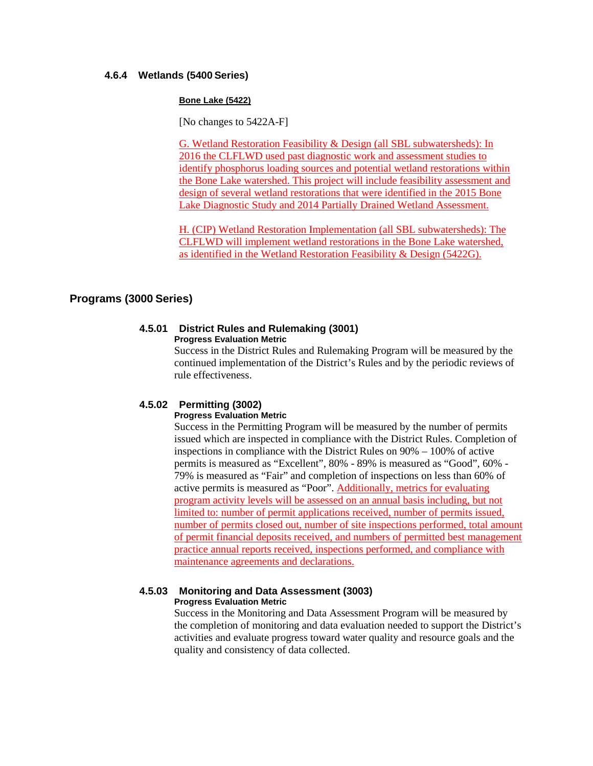### **4.6.4 Wetlands (5400 Series)**

#### **Bone Lake (5422)**

[No changes to 5422A-F]

G. Wetland Restoration Feasibility & Design (all SBL subwatersheds): In 2016 the CLFLWD used past diagnostic work and assessment studies to identify phosphorus loading sources and potential wetland restorations within the Bone Lake watershed. This project will include feasibility assessment and design of several wetland restorations that were identified in the 2015 Bone Lake Diagnostic Study and 2014 Partially Drained Wetland Assessment.

H. (CIP) Wetland Restoration Implementation (all SBL subwatersheds): The CLFLWD will implement wetland restorations in the Bone Lake watershed, as identified in the Wetland Restoration Feasibility & Design (5422G).

# **Programs (3000 Series)**

#### **4.5.01 District Rules and Rulemaking (3001) Progress Evaluation Metric**

Success in the District Rules and Rulemaking Program will be measured by the continued implementation of the District's Rules and by the periodic reviews of rule effectiveness.

## **4.5.02 Permitting (3002)**

#### **Progress Evaluation Metric**

Success in the Permitting Program will be measured by the number of permits issued which are inspected in compliance with the District Rules. Completion of inspections in compliance with the District Rules on 90% – 100% of active permits is measured as "Excellent", 80% - 89% is measured as "Good", 60% - 79% is measured as "Fair" and completion of inspections on less than 60% of active permits is measured as "Poor". Additionally, metrics for evaluating program activity levels will be assessed on an annual basis including, but not limited to: number of permit applications received, number of permits issued, number of permits closed out, number of site inspections performed, total amount of permit financial deposits received, and numbers of permitted best management practice annual reports received, inspections performed, and compliance with maintenance agreements and declarations.

#### **4.5.03 Monitoring and Data Assessment (3003) Progress Evaluation Metric**

Success in the Monitoring and Data Assessment Program will be measured by the completion of monitoring and data evaluation needed to support the District's activities and evaluate progress toward water quality and resource goals and the quality and consistency of data collected.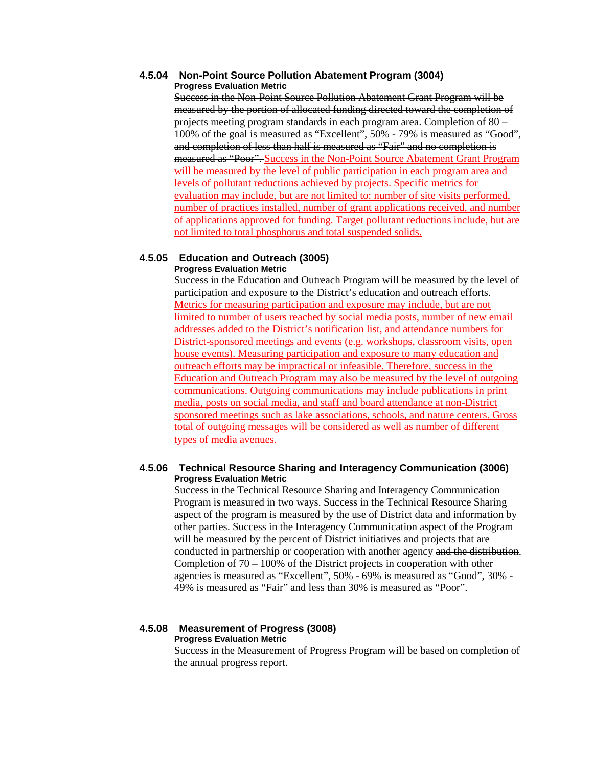#### **4.5.04 Non-Point Source Pollution Abatement Program (3004) Progress Evaluation Metric**

Success in the Non-Point Source Pollution Abatement Grant Program will be measured by the portion of allocated funding directed toward the completion of projects meeting program standards in each program area. Completion of 80 – 100% of the goal is measured as "Excellent", 50% - 79% is measured as "Good", and completion of less than half is measured as "Fair" and no completion is measured as "Poor". Success in the Non-Point Source Abatement Grant Program will be measured by the level of public participation in each program area and levels of pollutant reductions achieved by projects. Specific metrics for evaluation may include, but are not limited to: number of site visits performed, number of practices installed, number of grant applications received, and number of applications approved for funding. Target pollutant reductions include, but are not limited to total phosphorus and total suspended solids.

#### **4.5.05 Education and Outreach (3005) Progress Evaluation Metric**

Success in the Education and Outreach Program will be measured by the level of participation and exposure to the District's education and outreach efforts. Metrics for measuring participation and exposure may include, but are not limited to number of users reached by social media posts, number of new email addresses added to the District's notification list, and attendance numbers for District-sponsored meetings and events (e.g. workshops, classroom visits, open house events). Measuring participation and exposure to many education and outreach efforts may be impractical or infeasible. Therefore, success in the Education and Outreach Program may also be measured by the level of outgoing communications. Outgoing communications may include publications in print media, posts on social media, and staff and board attendance at non-District sponsored meetings such as lake associations, schools, and nature centers. Gross total of outgoing messages will be considered as well as number of different types of media avenues.

## **4.5.06 Technical Resource Sharing and Interagency Communication (3006) Progress Evaluation Metric**

Success in the Technical Resource Sharing and Interagency Communication Program is measured in two ways. Success in the Technical Resource Sharing aspect of the program is measured by the use of District data and information by other parties. Success in the Interagency Communication aspect of the Program will be measured by the percent of District initiatives and projects that are conducted in partnership or cooperation with another agency and the distribution. Completion of 70 – 100% of the District projects in cooperation with other agencies is measured as "Excellent", 50% - 69% is measured as "Good", 30% - 49% is measured as "Fair" and less than 30% is measured as "Poor".

#### **4.5.08 Measurement of Progress (3008) Progress Evaluation Metric**

Success in the Measurement of Progress Program will be based on completion of the annual progress report.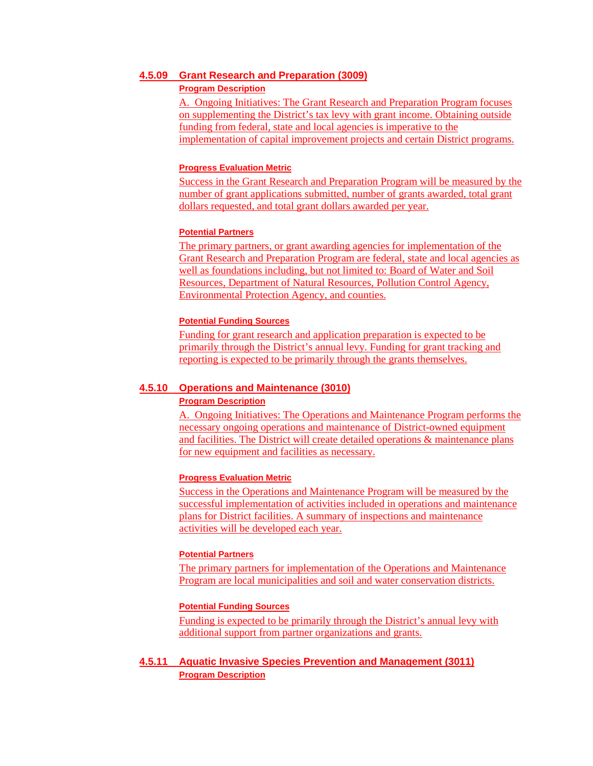#### **4.5.09 Grant Research and Preparation (3009)**

#### **Program Description**

A. Ongoing Initiatives: The Grant Research and Preparation Program focuses on supplementing the District's tax levy with grant income. Obtaining outside funding from federal, state and local agencies is imperative to the implementation of capital improvement projects and certain District programs.

### **Progress Evaluation Metric**

Success in the Grant Research and Preparation Program will be measured by the number of grant applications submitted, number of grants awarded, total grant dollars requested, and total grant dollars awarded per year.

### **Potential Partners**

The primary partners, or grant awarding agencies for implementation of the Grant Research and Preparation Program are federal, state and local agencies as well as foundations including, but not limited to: Board of Water and Soil Resources, Department of Natural Resources, Pollution Control Agency, Environmental Protection Agency, and counties.

### **Potential Funding Sources**

Funding for grant research and application preparation is expected to be primarily through the District's annual levy. Funding for grant tracking and reporting is expected to be primarily through the grants themselves.

# **4.5.10 Operations and Maintenance (3010)**

## **Program Description**

A. Ongoing Initiatives: The Operations and Maintenance Program performs the necessary ongoing operations and maintenance of District-owned equipment and facilities. The District will create detailed operations & maintenance plans for new equipment and facilities as necessary.

#### **Progress Evaluation Metric**

Success in the Operations and Maintenance Program will be measured by the successful implementation of activities included in operations and maintenance plans for District facilities. A summary of inspections and maintenance activities will be developed each year.

#### **Potential Partners**

The primary partners for implementation of the Operations and Maintenance Program are local municipalities and soil and water conservation districts.

### **Potential Funding Sources**

Funding is expected to be primarily through the District's annual levy with additional support from partner organizations and grants.

# **4.5.11 Aquatic Invasive Species Prevention and Management (3011) Program Description**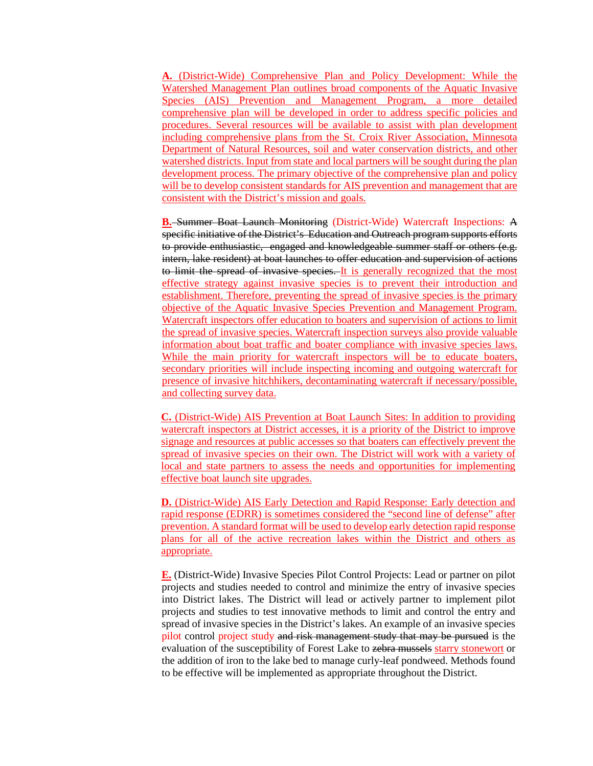**A.** (District-Wide) Comprehensive Plan and Policy Development: While the Watershed Management Plan outlines broad components of the Aquatic Invasive Species (AIS) Prevention and Management Program, a more detailed comprehensive plan will be developed in order to address specific policies and procedures. Several resources will be available to assist with plan development including comprehensive plans from the St. Croix River Association, Minnesota Department of Natural Resources, soil and water conservation districts, and other watershed districts. Input from state and local partners will be sought during the plan development process. The primary objective of the comprehensive plan and policy will be to develop consistent standards for AIS prevention and management that are consistent with the District's mission and goals.

**B.** Summer Boat Launch Monitoring (District-Wide) Watercraft Inspections: A specific initiative of the District's Education and Outreach program supports efforts to provide enthusiastic, engaged and knowledgeable summer staff or others (e.g. intern, lake resident) at boat launches to offer education and supervision of actions to limit the spread of invasive species. It is generally recognized that the most effective strategy against invasive species is to prevent their introduction and establishment. Therefore, preventing the spread of invasive species is the primary objective of the Aquatic Invasive Species Prevention and Management Program. Watercraft inspectors offer education to boaters and supervision of actions to limit the spread of invasive species. Watercraft inspection surveys also provide valuable information about boat traffic and boater compliance with invasive species laws. While the main priority for watercraft inspectors will be to educate boaters, secondary priorities will include inspecting incoming and outgoing watercraft for presence of invasive hitchhikers, decontaminating watercraft if necessary/possible, and collecting survey data.

**C.** (District-Wide) AIS Prevention at Boat Launch Sites: In addition to providing watercraft inspectors at District accesses, it is a priority of the District to improve signage and resources at public accesses so that boaters can effectively prevent the spread of invasive species on their own. The District will work with a variety of local and state partners to assess the needs and opportunities for implementing effective boat launch site upgrades.

**D.** (District-Wide) AIS Early Detection and Rapid Response: Early detection and rapid response (EDRR) is sometimes considered the "second line of defense" after prevention. A standard format will be used to develop early detection rapid response plans for all of the active recreation lakes within the District and others as appropriate.

**E.** (District-Wide) Invasive Species Pilot Control Projects: Lead or partner on pilot projects and studies needed to control and minimize the entry of invasive species into District lakes. The District will lead or actively partner to implement pilot projects and studies to test innovative methods to limit and control the entry and spread of invasive species in the District's lakes. An example of an invasive species pilot control project study and risk management study that may be pursued is the evaluation of the susceptibility of Forest Lake to zebra mussels starry stonewort or the addition of iron to the lake bed to manage curly-leaf pondweed. Methods found to be effective will be implemented as appropriate throughout the District.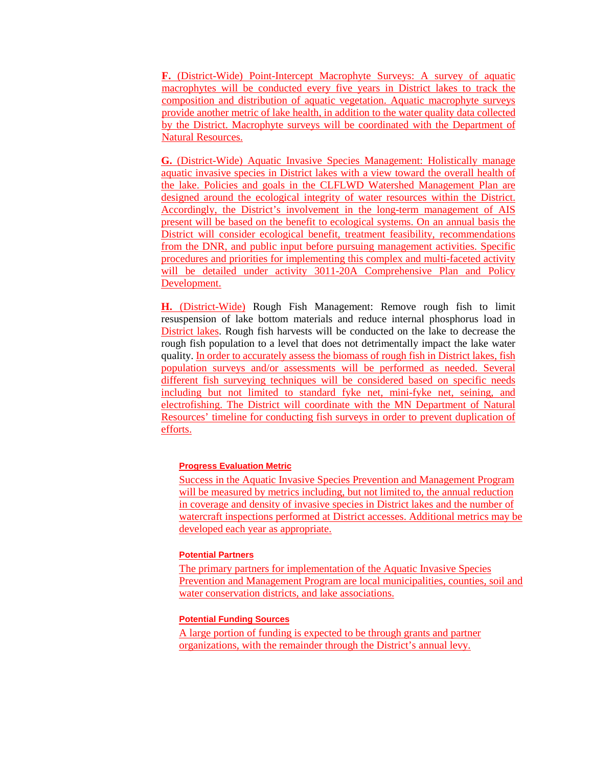**F.** (District-Wide) Point-Intercept Macrophyte Surveys: A survey of aquatic macrophytes will be conducted every five years in District lakes to track the composition and distribution of aquatic vegetation. Aquatic macrophyte surveys provide another metric of lake health, in addition to the water quality data collected by the District. Macrophyte surveys will be coordinated with the Department of Natural Resources.

**G.** (District-Wide) Aquatic Invasive Species Management: Holistically manage aquatic invasive species in District lakes with a view toward the overall health of the lake. Policies and goals in the CLFLWD Watershed Management Plan are designed around the ecological integrity of water resources within the District. Accordingly, the District's involvement in the long-term management of AIS present will be based on the benefit to ecological systems. On an annual basis the District will consider ecological benefit, treatment feasibility, recommendations from the DNR, and public input before pursuing management activities. Specific procedures and priorities for implementing this complex and multi-faceted activity will be detailed under activity 3011-20A Comprehensive Plan and Policy Development.

**H.** (District-Wide) Rough Fish Management: Remove rough fish to limit resuspension of lake bottom materials and reduce internal phosphorus load in District lakes. Rough fish harvests will be conducted on the lake to decrease the rough fish population to a level that does not detrimentally impact the lake water quality. In order to accurately assess the biomass of rough fish in District lakes, fish population surveys and/or assessments will be performed as needed. Several different fish surveying techniques will be considered based on specific needs including but not limited to standard fyke net, mini-fyke net, seining, and electrofishing. The District will coordinate with the MN Department of Natural Resources' timeline for conducting fish surveys in order to prevent duplication of efforts.

#### **Progress Evaluation Metric**

Success in the Aquatic Invasive Species Prevention and Management Program will be measured by metrics including, but not limited to, the annual reduction in coverage and density of invasive species in District lakes and the number of watercraft inspections performed at District accesses. Additional metrics may be developed each year as appropriate.

#### **Potential Partners**

The primary partners for implementation of the Aquatic Invasive Species Prevention and Management Program are local municipalities, counties, soil and water conservation districts, and lake associations.

### **Potential Funding Sources**

A large portion of funding is expected to be through grants and partner organizations, with the remainder through the District's annual levy.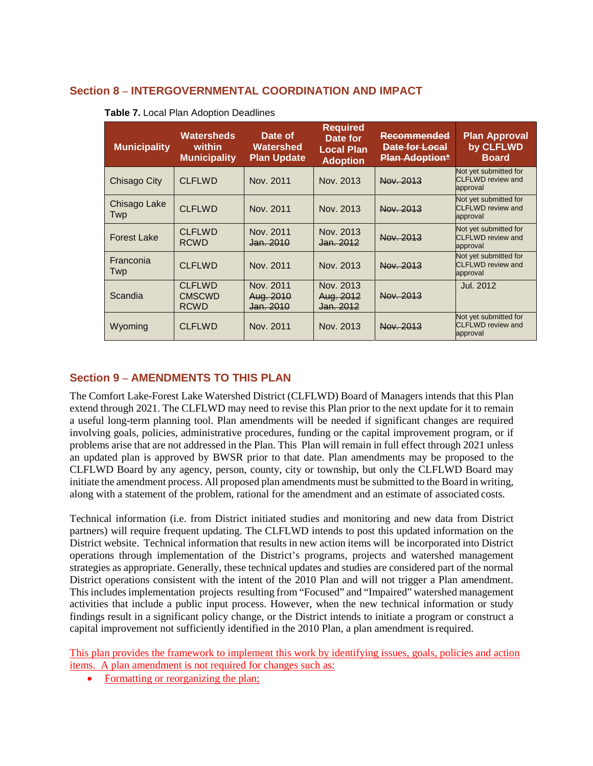# **Section 8 – INTERGOVERNMENTAL COORDINATION AND IMPACT**

| <b>Municipality</b> | Watersheds<br>within<br><b>Municipality</b>   | Date of<br>Watershed<br><b>Plan Update</b> | <b>Required</b><br>Date for<br><b>Local Plan</b><br><b>Adoption</b> | Recommended<br>Date for Local<br><b>Plan Adoption*</b> | <b>Plan Approval</b><br>by CLFLWD<br><b>Board</b>             |
|---------------------|-----------------------------------------------|--------------------------------------------|---------------------------------------------------------------------|--------------------------------------------------------|---------------------------------------------------------------|
| Chisago City        | <b>CLELWD</b>                                 | Nov. 2011                                  | Nov. 2013                                                           | Nov. 2013                                              | Not yet submitted for<br><b>CLFLWD</b> review and<br>approval |
| Chisago Lake<br>Twp | <b>CLFLWD</b>                                 | Nov. 2011                                  | Nov. 2013                                                           | Nov. 2013                                              | Not yet submitted for<br><b>CLFLWD</b> review and<br>approval |
| <b>Forest Lake</b>  | <b>CLFLWD</b><br><b>RCWD</b>                  | Nov. 2011<br><del>Jan. 2010</del>          | Nov. 2013<br>Jan. 2012                                              | Nov. 2013                                              | Not yet submitted for<br><b>CLFLWD</b> review and<br>approval |
| Franconia<br>Twp    | <b>CLFLWD</b>                                 | Nov. 2011                                  | Nov. 2013                                                           | Nov. 2013                                              | Not yet submitted for<br><b>CLFLWD</b> review and<br>approval |
| Scandia             | <b>CLFLWD</b><br><b>CMSCWD</b><br><b>RCWD</b> | Nov. 2011<br>Aug. 2010<br>Jan. 2010        | Nov. 2013<br>Aug. 2012<br>Jan. 2012                                 | Nov. 2013                                              | Jul. 2012                                                     |
| Wyoming             | CLFLWD                                        | Nov. 2011                                  | Nov. 2013                                                           | Nov. 2013                                              | Not yet submitted for<br><b>CLFLWD</b> review and<br>approval |

# **Section 9 – AMENDMENTS TO THIS PLAN**

The Comfort Lake-Forest Lake Watershed District (CLFLWD) Board of Managers intends that this Plan extend through 2021. The CLFLWD may need to revise this Plan prior to the next update for it to remain a useful long-term planning tool. Plan amendments will be needed if significant changes are required involving goals, policies, administrative procedures, funding or the capital improvement program, or if problems arise that are not addressed in the Plan. This Plan will remain in full effect through 2021 unless an updated plan is approved by BWSR prior to that date. Plan amendments may be proposed to the CLFLWD Board by any agency, person, county, city or township, but only the CLFLWD Board may initiate the amendment process. All proposed plan amendments must be submitted to the Board in writing, along with a statement of the problem, rational for the amendment and an estimate of associated costs.

Technical information (i.e. from District initiated studies and monitoring and new data from District partners) will require frequent updating. The CLFLWD intends to post this updated information on the District website. Technical information that results in new action items will be incorporated into District operations through implementation of the District's programs, projects and watershed management strategies as appropriate. Generally, these technical updates and studies are considered part of the normal District operations consistent with the intent of the 2010 Plan and will not trigger a Plan amendment. This includes implementation projects resulting from "Focused" and "Impaired" watershed management activities that include a public input process. However, when the new technical information or study findings result in a significant policy change, or the District intends to initiate a program or construct a capital improvement not sufficiently identified in the 2010 Plan, a plan amendment isrequired.

This plan provides the framework to implement this work by identifying issues, goals, policies and action items. A plan amendment is not required for changes such as:

• Formatting or reorganizing the plan;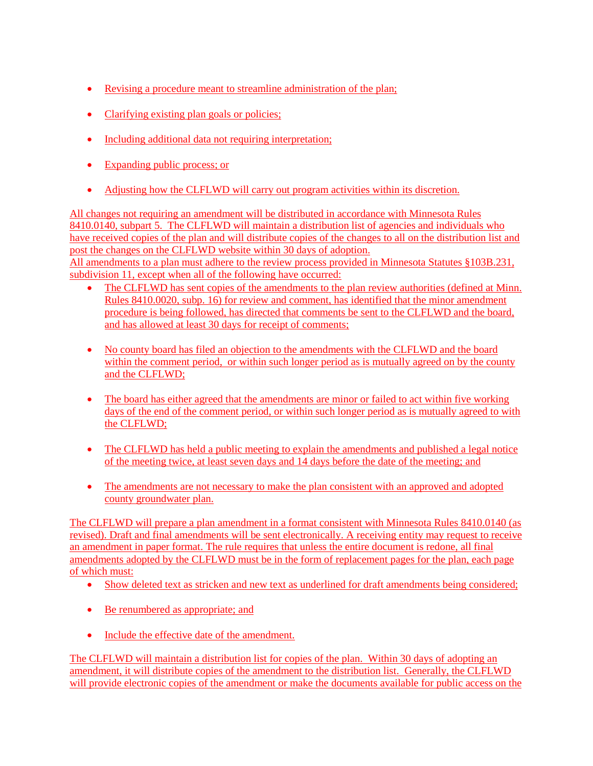- Revising a procedure meant to streamline administration of the plan;
- Clarifying existing plan goals or policies;
- Including additional data not requiring interpretation;
- Expanding public process; or
- Adjusting how the CLFLWD will carry out program activities within its discretion.

All changes not requiring an amendment will be distributed in accordance with Minnesota Rules 8410.0140, subpart 5. The CLFLWD will maintain a distribution list of agencies and individuals who have received copies of the plan and will distribute copies of the changes to all on the distribution list and post the changes on the CLFLWD website within 30 days of adoption.

All amendments to a plan must adhere to the review process provided in Minnesota Statutes [§103B.231,](https://www.revisor.mn.gov/statutes/?id=103B.231) subdivision 11, except when all of the following have occurred:

- The CLFLWD has sent copies of the amendments to the plan review authorities (defined at Minn. Rules 8410.0020, subp. 16) for review and comment, has identified that the minor amendment procedure is being followed, has directed that comments be sent to the CLFLWD and the board, and has allowed at least 30 days for receipt of comments;
- No county board has filed an objection to the amendments with the CLFLWD and the board within the comment period, or within such longer period as is mutually agreed on by the county and the CLFLWD;
- The board has either agreed that the amendments are minor or failed to act within five working days of the end of the comment period, or within such longer period as is mutually agreed to with the CLFLWD;
- The CLFLWD has held a public meeting to explain the amendments and published a legal notice of the meeting twice, at least seven days and 14 days before the date of the meeting; and
- The amendments are not necessary to make the plan consistent with an approved and adopted county groundwater plan.

The CLFLWD will prepare a plan amendment in a format consistent with Minnesota Rules 8410.0140 (as revised). Draft and final amendments will be sent electronically. A receiving entity may request to receive an amendment in paper format. The rule requires that unless the entire document is redone, all final amendments adopted by the CLFLWD must be in the form of replacement pages for the plan, each page of which must:

- Show deleted text as stricken and new text as underlined for draft amendments being considered;
- Be renumbered as appropriate; and
- Include the effective date of the amendment.

The CLFLWD will maintain a distribution list for copies of the plan. Within 30 days of adopting an amendment, it will distribute copies of the amendment to the distribution list. Generally, the CLFLWD will provide electronic copies of the amendment or make the documents available for public access on the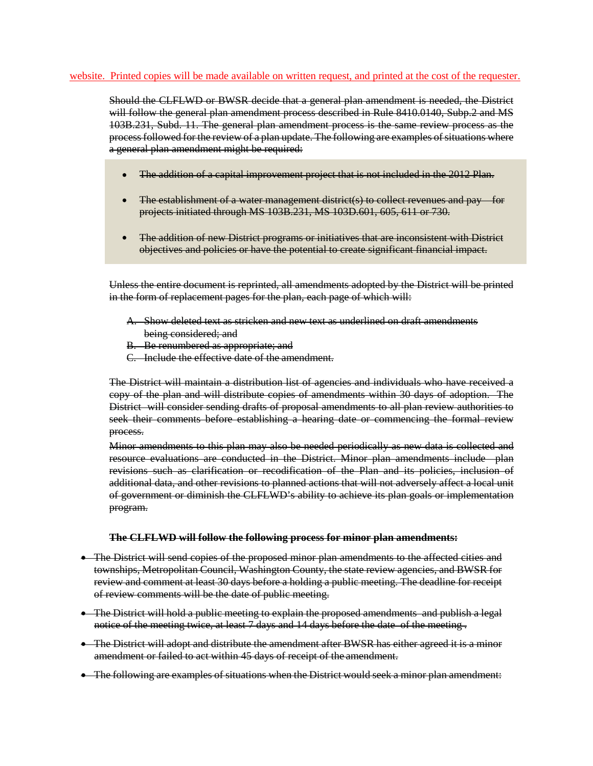#### website. Printed copies will be made available on written request, and printed at the cost of the requester.

Should the CLFLWD or BWSR decide that a general plan amendment is needed, the District will follow the general plan amendment process described in Rule 8410.0140, Subp.2 and MS 103B.231, Subd. 11. The general plan amendment process is the same review process as the process followed for the review of a plan update. The following are examples of situations where a general plan amendment might be required:

- The addition of a capital improvement project that is not included in the 2012 Plan.  $\bullet$
- The establishment of a water management district(s) to collect revenues and pay for  $\bullet$ projects initiated through MS 103B.231, MS 103D.601, 605, 611 or 730.
- The addition of new District programs or initiatives that are inconsistent with District objectives and policies or have the potential to create significant financial impact.

Unless the entire document is reprinted, all amendments adopted by the District will be printed in the form of replacement pages for the plan, each page of which will:

- A. Show deleted text as stricken and new text as underlined on draft amendments being considered; and
- B. Be renumbered as appropriate; and
- C. Include the effective date of the amendment.

The District will maintain a distribution list of agencies and individuals who have received a copy of the plan and will distribute copies of amendments within 30 days of adoption. The District will consider sending drafts of proposal amendments to all plan review authorities to seek their comments before establishing a hearing date or commencing the formal review process.

Minor amendments to this plan may also be needed periodically as new data is collected and resource evaluations are conducted in the District. Minor plan amendments include plan revisions such as clarification or recodification of the Plan and its policies, inclusion of additional data, and other revisions to planned actions that will not adversely affect a local unit of government or diminish the CLFLWD's ability to achieve its plan goals or implementation program.

#### **The CLFLWD will follow the following process for minor plan amendments:**

- The District will send copies of the proposed minor plan amendments to the affected cities and townships, Metropolitan Council, Washington County, the state review agencies, and BWSR for review and comment at least 30 days before a holding a public meeting. The deadline for receipt of review comments will be the date of public meeting.
- The District will hold a public meeting to explain the proposed amendments and publish a legal notice of the meeting twice, at least 7 days and 14 days before the date of the meeting.
- The District will adopt and distribute the amendment after BWSR has either agreed it is a minor amendment or failed to act within 45 days of receipt of the amendment.
- The following are examples of situations when the District would seek a minor plan amendment: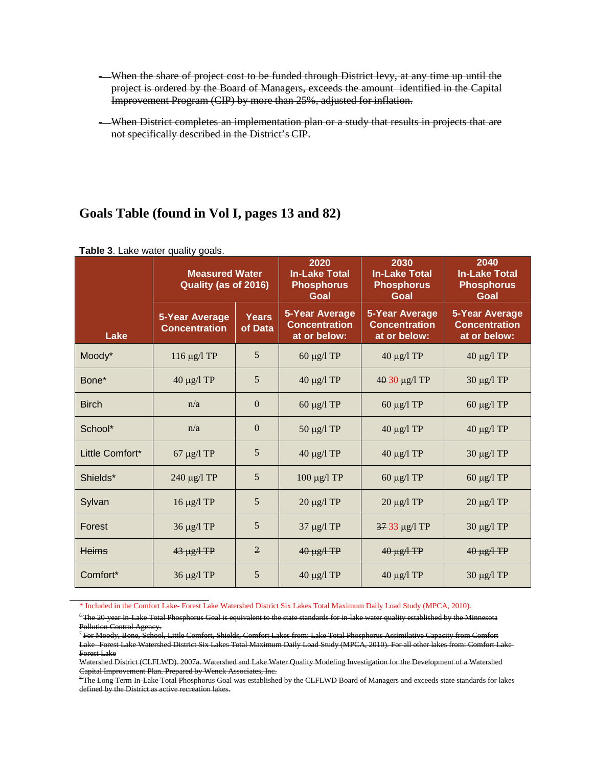- When the share of project cost to be funded through District levy, at any time up until the project is ordered by the Board of Managers, exceeds the amount identified in the Capital Improvement Program (CIP) by more than 25%, adjusted for inflation.
- When District completes an implementation plan or a study that results in projects that are not specifically described in the District's CIP.

# **Goals Table (found in Vol I, pages 13 and 82)**

|                 | <b>Measured Water</b><br>Quality (as of 2016) |                         | 2020<br><b>In-Lake Total</b><br><b>Phosphorus</b><br>Goal     | 2030<br><b>In-Lake Total</b><br><b>Phosphorus</b><br>Goal     | 2040<br><b>In-Lake Total</b><br><b>Phosphorus</b><br>Goal     |
|-----------------|-----------------------------------------------|-------------------------|---------------------------------------------------------------|---------------------------------------------------------------|---------------------------------------------------------------|
| Lake            | <b>5-Year Average</b><br><b>Concentration</b> | <b>Years</b><br>of Data | <b>5-Year Average</b><br><b>Concentration</b><br>at or below: | <b>5-Year Average</b><br><b>Concentration</b><br>at or below: | <b>5-Year Average</b><br><b>Concentration</b><br>at or below: |
| Moody*          | 116 $\mu$ g/l TP                              | 5                       | $60 \mu g/l$ TP                                               | $40 \mu g/l$ TP                                               | $40 \mu g/l$ TP                                               |
| Bone*           | $40 \mu g/l$ TP                               | 5                       | $40 \mu g/l$ TP                                               | 40 30 μg/l TP                                                 | $30 \mu g/l$ TP                                               |
| <b>Birch</b>    | n/a                                           | $\Omega$                | $60 \mu g/l$ TP                                               | $60 \mu g/l$ TP                                               | $60 \mu g/l$ TP                                               |
| School*         | n/a                                           | $\theta$                | $50 \mu g/l$ TP                                               | $40 \mu g/l$ TP                                               | $40 \mu g/l$ TP                                               |
| Little Comfort* | 67 μg/l TP                                    | 5                       | $40 \mu g/l$ TP                                               | $40 \mu g/l$ TP                                               | $30 \mu g/l$ TP                                               |
| Shields*        | 240 μg/l TP                                   | 5                       | $100 \mu g/l$ TP                                              | $60 \mu g/l$ TP                                               | $60 \mu g/l$ TP                                               |
| Sylvan          | $16 \mu g/l$ TP                               | 5                       | $20 \mu g/l$ TP                                               | $20 \mu g/l$ TP                                               | $20 \mu g/l$ TP                                               |
| Forest          | 36 μg/l TP                                    | 5                       | $37 \mu g/l$ TP                                               | 37 33 µg/l TP                                                 | $30 \mu g/l$ TP                                               |
| <b>Heims</b>    | $43 \mu g/1 \text{TP}$                        | $\overline{2}$          | $40 \mu g/1 \text{TP}$                                        | $40 \mu g/1 \text{TP}$                                        | $40 \mu g/1 \text{TP}$                                        |
| Comfort*        | 36 μg/l TP                                    | 5                       | $40 \mu g/l$ TP                                               | $40 \mu g/l$ TP                                               | $30 \mu g/l$ TP                                               |

**Table 3**. Lake water quality goals.

\* Included in the Comfort Lake- Forest Lake Watershed District Six Lakes Total Maximum Daily Load Study (MPCA, 2010).

<sup>8</sup> The Long Term In-Lake Total Phosphorus Goal was established by the CLFLWD Board of Managers and exceeds state standards for lakes defined by the District as active recreation lakes.

<sup>6</sup> The 20-year In-Lake Total Phosphorus Goal is equivalent to the state standards for in-lake water quality established by the Minnesota Pollution Control Agency.

 $^{\text{\tiny{\textup{T}}}}$ For Moody, Bone, School, Little Comfort, Shields, Comfort Lakes from: Lake Total Phosphorus Assimilative Capacity from Comfort Lake- Forest Lake Watershed District Six Lakes Total Maximum Daily Load Study (MPCA, 2010). For all other lakes from: Comfort Lake-Forest Lake

Watershed District (CLFLWD). 2007a. Watershed and Lake Water Quality Modeling Investigation for the Development of a Watershed Capital Improvement Plan. Prepared by Wenck Associates, Inc.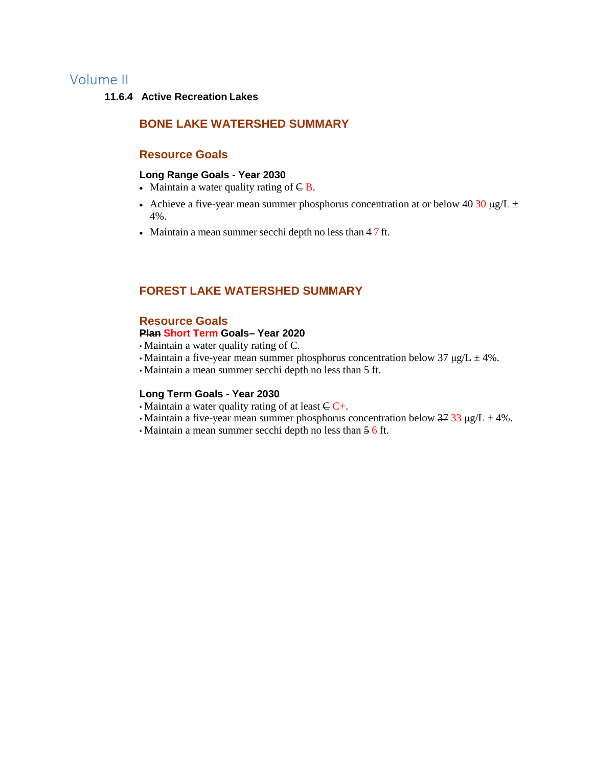# Volume II

# **11.6.4 Active Recreation Lakes**

# **BONE LAKE WATERSHED SUMMARY**

# **Resource Goals**

### **Long Range Goals - Year 2030**

- Maintain a water quality rating of  $\in$  **B**.
- Achieve a five-year mean summer phosphorus concentration at or below  $40\frac{30 \text{ kg}}{L}$  ± 4%.
- Maintain a mean summer secchi depth no less than 4 7 ft.

# **FOREST LAKE WATERSHED SUMMARY**

# **Resource Goals**

### **Plan Short Term Goals– Year 2020**

- Maintain a water quality rating of C.
- Maintain a five-year mean summer phosphorus concentration below 37  $\mu$ g/L  $\pm$  4%.
- Maintain a mean summer secchi depth no less than 5 ft.

### **Long Term Goals - Year 2030**

- Maintain a water quality rating of at least  $C \rightarrow$ .
- Maintain a five-year mean summer phosphorus concentration below  $3733 \mu g/L \pm 4\%$ .
- Maintain a mean summer secchi depth no less than 5 6 ft.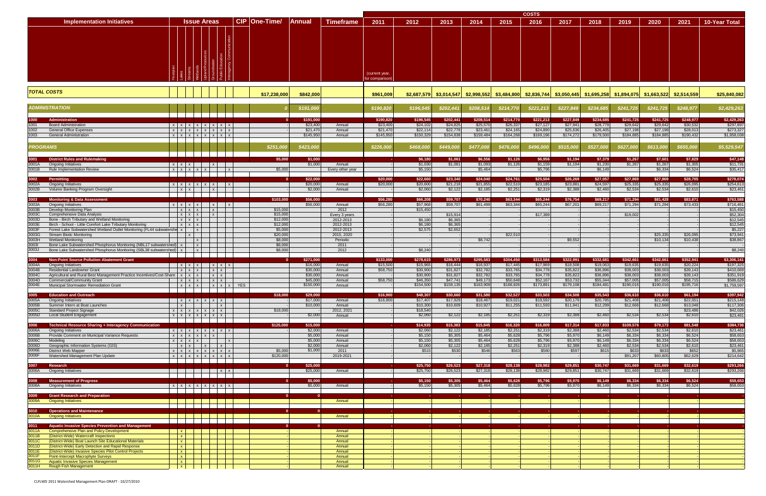|                |                                                                                                                                                |                                 |                                                                                         |                                 |              |                      |                       |                            |                                  |                       |                      |                       |                       | <b>COSTS</b>         |                       |                       |                       |                                                                                                                         |                       |                          |
|----------------|------------------------------------------------------------------------------------------------------------------------------------------------|---------------------------------|-----------------------------------------------------------------------------------------|---------------------------------|--------------|----------------------|-----------------------|----------------------------|----------------------------------|-----------------------|----------------------|-----------------------|-----------------------|----------------------|-----------------------|-----------------------|-----------------------|-------------------------------------------------------------------------------------------------------------------------|-----------------------|--------------------------|
|                | <b>Implementation Initiatives</b>                                                                                                              |                                 | <b>Issue Areas</b>                                                                      |                                 |              | CIP   One-Time/      | <b>Annual</b>         | <b>Timeframe</b>           | 2011                             | 2012                  | 2013                 | 2014                  | 2015                  | 2016                 | 2017                  | 2018                  | 2019                  | 2020                                                                                                                    | 2021                  | <b>10-Year Total</b>     |
|                |                                                                                                                                                |                                 |                                                                                         |                                 |              |                      |                       |                            |                                  |                       |                      |                       |                       |                      |                       |                       |                       |                                                                                                                         |                       |                          |
|                |                                                                                                                                                |                                 |                                                                                         |                                 |              |                      |                       |                            | (current year,<br>for comparisor |                       |                      |                       |                       |                      |                       |                       |                       |                                                                                                                         |                       |                          |
|                | <b>TOTAL COSTS</b>                                                                                                                             |                                 |                                                                                         |                                 |              | \$17,238,000         | \$842,000             |                            | \$961,009                        |                       |                      |                       |                       |                      |                       |                       |                       | \$2,687,579 \$3,014,547 \$2,998,552 \$3,484,800 \$2,836,744 \$3,050,445 \$1,695,258 \$1,894,075 \$1,663,522 \$2,514,559 |                       | \$25,840,082             |
|                | <b>ADMINISTRATION</b>                                                                                                                          |                                 |                                                                                         |                                 |              |                      | \$191,000             |                            | \$190,820                        | \$196,545             | \$202,441            | \$208,514             | \$214,770             | \$221,213            | \$227,849             | \$234,685             | \$241,725             | \$241,725                                                                                                               | \$248,977             | \$2,429,263              |
| 1000           | Administration                                                                                                                                 |                                 |                                                                                         |                                 |              |                      | \$191,000             |                            | \$190,820                        | \$196,545             | \$202,441            | \$208,514             | \$214,770             | \$221,213            | \$227,849             | \$234,685             | \$241,725             | \$241,725                                                                                                               | \$248,977             | \$2,429,263              |
| 1001<br>1002   | <b>Board Administration</b><br><b>General Office Expenses</b>                                                                                  |                                 | $x \mid x \mid x \mid x \mid x \mid x \mid x$<br>x   x   x   x   x   x   x   x          |                                 |              |                      | \$23,400<br>\$21,470  | Annual<br>Annual           | \$23,400<br>\$21,47              | \$24,102<br>\$22,114  | \$24,825<br>\$22,778 | \$25,570<br>\$23,461  | \$26,337<br>\$24,165  | \$27,127<br>\$24,890 | \$27,941<br>\$25,636  | \$28,779<br>\$26,405  | \$29,642<br>\$27,198  | \$29,642<br>\$27,198                                                                                                    | \$30,532<br>\$28,013  | \$297,897<br>\$273,327   |
| 1003           | <b>General Administration</b>                                                                                                                  |                                 | x   x   x   x   x   x   x   x                                                           |                                 |              |                      | \$145,950             | Annual                     | \$145,950                        | \$150,329             | \$154,838            | \$159,484             | \$164,268             | \$169,196            | \$174,272             | \$179,500             | \$184,885             | \$184,885                                                                                                               | \$190,432             | \$1,858,038              |
|                | <b>PROGRAMS</b>                                                                                                                                |                                 |                                                                                         |                                 |              | \$251,000            | \$423,000             |                            | \$226,000                        | \$468,000             | \$449,000            | \$477,000             | \$476,000             | \$496,000            | \$515,000             | \$527,000             | \$627,000             | \$613,000                                                                                                               | \$655,000             | \$5,529,547              |
| 3001A          | <b>District Rules and Rulemaking</b><br><b>Ongoing Initiatives</b>                                                                             | $X$ $X$ $X$                     |                                                                                         | $\mathbf{x}$                    |              | \$5,000              | \$1,000<br>\$1,000    | Annual                     |                                  | \$6,180<br>\$1,030    | \$1,061<br>\$1,061   | \$6,556<br>\$1,093    | \$1,126<br>\$1,126    | \$6,956<br>\$1,159   | \$1,194<br>\$1,194    | \$7,379<br>\$1,230    | \$1,267<br>\$1,267    | \$7,601<br>\$1,267                                                                                                      | \$7,829<br>\$1,305    | \$47,148<br>\$11,731     |
| 3001B          | <b>Rule Implementation Review</b>                                                                                                              |                                 | x x x x x x                                                                             |                                 | $\mathsf{X}$ | \$5,000              |                       | Every other year           |                                  | \$5.150               |                      | \$5,464               |                       | \$5,796              |                       | \$6,149               |                       | \$6,334                                                                                                                 | \$6,524               | \$35,417                 |
| 3002           | Permitting                                                                                                                                     |                                 |                                                                                         |                                 |              | $\Omega$             | \$22,000              |                            | \$20,000                         | \$22,660              | \$23,340             | \$24,040              | \$24,761              | \$25,504             | \$26,269              | \$27,057              | \$27,869              | \$27,869                                                                                                                | \$28,705              | \$278,074                |
| 3002A<br>3002B | <b>Ongoing Initiatives</b><br>Volume Banking Program Oversight                                                                                 | $x \times$                      | $x \mid x \mid x \mid x \mid x \mid x$                                                  | $\vert x \vert$                 | $\mathbf{x}$ |                      | \$20,000<br>\$2,000   | Annual<br>Annual           | \$20,000                         | \$20,600<br>\$2,060   | \$21,218<br>\$2,122  | \$21,855<br>\$2,185   | \$22,510<br>\$2,251   | \$23,185<br>\$2,319  | \$23,881<br>\$2,388   | \$24,597<br>\$2,460   | \$25,335<br>\$2,534   | \$25,335<br>\$2,534                                                                                                     | \$26,095<br>\$2,610   | \$254,613<br>\$23,461    |
| 3003           | <b>Monitoring &amp; Data Assessment</b>                                                                                                        |                                 |                                                                                         |                                 |              | \$103,000            | \$56,000              |                            | \$56,280                         | \$66,208              | \$59,707             | \$70,240              | \$63,344              | \$65,244             | \$76,754              | \$69,217              | \$71,294              | \$81,428                                                                                                                | \$83,871              | \$763,588                |
| 3003A<br>3003B | <b>Ongoing Initiatives</b><br>Develop Monitoring Plan                                                                                          |                                 | $x \mid x \mid x \mid x \mid x$<br>$x \mid x \mid x$                                    | $\vert x \vert$                 | $\mathbf{x}$ | \$15,000             | \$56,000              | Annual<br>2012             | \$56,28                          | \$57,968<br>\$15,450  | \$59,707             | \$61,499              | \$63,344              | \$65,244             | \$67,201              | \$69,217              | \$71,294              | \$71,294                                                                                                                | \$73,433              | \$716,481<br>\$15,450    |
| 3003C<br>3003D | Comprehensive Data Analysis<br>Bone - Birch Tributary and Wetland Monitoring                                                                   | $x \mid x \mid x$               | $x \mid x \mid x$                                                                       | $\vert x \vert$                 |              | \$15,000<br>\$12,000 |                       | Every 3 years<br>2012-2013 |                                  | \$6,180               | \$15,914<br>\$6,365  |                       |                       | \$17,38              |                       |                       | \$19,002              |                                                                                                                         |                       | \$52,304<br>\$12,545     |
| 3003E          | Birch - School - Little Comfort Lake Tributary Monitoring                                                                                      |                                 | $x \mid x \mid x$                                                                       |                                 |              | \$12,000             |                       | 2012-2013                  |                                  | \$6,18                | \$6,365              |                       |                       |                      |                       |                       |                       |                                                                                                                         |                       | \$12,545                 |
| 3003F<br>3003G | Forest Lake Subwatershed Wetland Outlet Monitoring (FL44 subwatershe x  <br><b>Stream Biotic Monitoring</b>                                    |                                 | $\mathbf{x}$<br>$\mathbf{x}$                                                            |                                 |              | \$5,000<br>\$20,000  |                       | 2012-2013<br>2015, 2020    |                                  | \$2,575               | \$2,652              |                       | \$22,510              |                      |                       |                       |                       | \$25,335                                                                                                                | \$26,095              | \$5,227<br>\$73,941      |
| 3003H          | <b>Wetland Monitoring</b>                                                                                                                      |                                 | $\mathbf{x}$                                                                            |                                 |              | \$8,000              |                       | Periodic                   |                                  |                       |                      | \$8,742               |                       |                      | \$9,552               |                       |                       | \$10,134                                                                                                                | \$10,438              | \$38,867                 |
| 30031<br>3003J | Bone Lake Subwatershed Phosphorus Monitoring (NBL17 subwatershed)   x<br>Bone Lake Subwatershed Phosphorus Monitoring (SBL38 subwatershed)   x |                                 | $\mathbf{x}$                                                                            |                                 |              | \$8,000<br>\$8,000   |                       | 2011<br>2012               |                                  | \$8,240               |                      |                       |                       |                      |                       |                       |                       |                                                                                                                         |                       | \$8,240                  |
| 3004           | <b>Non-Point Source Pollution Abatement Grant</b>                                                                                              |                                 |                                                                                         |                                 |              | $\Omega$             | \$271,000             |                            | \$133,000                        | \$278,615             | \$286,973            | \$295,583             | \$304,450             | \$313,584            | \$322,991             | \$332,681             | \$342,661             | \$342,661                                                                                                               | \$352,941             | \$3,306,141              |
| 3004A          | <b>Ongoing Initiatives</b>                                                                                                                     |                                 | $X$ $X$ $X$                                                                             | $X$ $X$ $X$                     |              |                      | \$16,000<br>\$30,000  | Annual                     | \$15,50                          | \$15,965<br>\$30,900  | \$16,444             | \$16,937              | \$17,445              | \$17,969             | \$18,508              | \$19,063              | \$19,635              | \$19,635                                                                                                                | \$20,224              | \$197,325                |
| 3004B<br>3004C | <b>Residential Landowner Grant</b><br>Agricultural and Rural Best Management Practice Incentives/Cost-Share $\vert x \vert x$ x x              |                                 | $x \mid x \mid x$                                                                       | $x \mid x$<br>$x \mid x$        |              |                      | \$30,000              | Annual<br>Annual           | \$58,750                         | \$30,900              | \$31,827<br>\$31,827 | \$32,782<br>\$32,782  | \$33,765<br>\$33,765  | \$34,778<br>\$34,778 | \$35,822<br>\$35,822  | \$36,896<br>\$36,896  | \$38,003<br>\$38,003  | \$38,003<br>\$38,003                                                                                                    | \$39,143<br>\$39,143  | \$410,669<br>\$351,919   |
| 3004D<br>3004E | <b>Commercial/Community Grant</b><br>Municipal Stormwater Remediation Grant                                                                    |                                 | $x \mid x \mid x$<br>$x \mid x \mid x$                                                  | $x \mid x$<br>$x \mid x \mid x$ | YES          |                      | \$45,000<br>\$150,000 | Annual<br>Annual           | \$58,75                          | \$46,350<br>\$154,500 | \$47,74<br>\$159,135 | \$49,173<br>\$163,909 | \$50,648<br>\$168,826 | \$52,16<br>\$173,891 | \$53,732<br>\$179,108 | \$55,344<br>\$184,481 | \$57,005<br>\$190,016 | \$57,00<br>\$190,016                                                                                                    | \$58,715<br>\$195,716 | \$586,629<br>\$1,759,597 |
|                | <b>Education and Outreach</b>                                                                                                                  |                                 |                                                                                         |                                 |              | \$18,000             | \$29,000              |                            | \$16,900                         | \$48,307              | \$30,660             | \$31,580              | \$32,527              | \$33,503             | \$34,508              | \$35,543              | \$36,610              | \$36,610                                                                                                                | \$61,194              | \$397,942                |
| 3005A          | <b>Ongoing Initiatives</b>                                                                                                                     |                                 | $x \mid x \mid x \mid x \mid x \mid x$                                                  |                                 |              |                      | \$17,000              | Annual                     | \$16,900                         | \$17,407              | \$17,929             | \$18,467              | \$19,021              | \$19,592             | \$20,179              | \$20,785              | \$21,408              | \$21,408                                                                                                                | \$22,051              | \$215,148                |
| 3005B<br>3005C | Summer Intern at Boat Launches<br>Standard Project Signage                                                                                     | $\mathbf{x}$                    | $x \mid x \mid x \mid x \mid x \mid x$                                                  | $\vert x \vert$                 |              | \$18,000             | \$10,000              | Annual<br>2012, 2021       |                                  | \$10,300<br>\$18,540  | \$10,609             | \$10,927              | \$11,255              | \$11,593             | \$11,941              | \$12,299              | \$12,668              | \$12,668                                                                                                                | \$13,048<br>\$23,486  | \$117,306<br>\$42,026    |
| 3005D          | <b>Local Student Engagement</b>                                                                                                                |                                 | $x \mid x \mid x \mid x \mid x \mid x \mid x$                                           |                                 |              |                      | \$2,000               | Annual                     |                                  | \$2,060               | \$2,122              | \$2,185               | \$2,251               | \$2,319              | \$2,388               | \$2,460               | \$2,534               | \$2,534                                                                                                                 | \$2,610               | \$23,461                 |
| 3006<br>3006A  | <b>Technical Resource Sharing + Interagency Communication</b>                                                                                  |                                 |                                                                                         |                                 |              | \$125,000            | \$15,000              |                            |                                  | \$14,935              | \$15,383             | \$15,845              | \$16,320              | \$16,809             | \$17,314              | \$17,833              | \$109,576             | \$79,173                                                                                                                | \$81,548              | \$384,736                |
| 3006B          | <b>Ongoing Initiatives</b><br>Provide Comment on Municipal Variance Requests                                                                   |                                 | $x$ $x$ $x$ $x$ $x$ $x$ $x$ $x$<br>$x \mid x \mid x \mid x \mid x \mid x$               |                                 |              |                      | \$2,000<br>\$5,000    | Annual<br>Annual           |                                  | \$2,060<br>\$5,150    | \$2,122<br>\$5,305   | \$2,185<br>\$5,464    | \$2,251<br>\$5,628    | \$2,319<br>\$5,796   | \$2,388<br>\$5,970    | \$2,460<br>\$6,149    | \$2,534<br>\$6,334    | \$2,534<br>\$6,334                                                                                                      | \$2,610<br>\$6,524    | \$23,461<br>\$58,653     |
| 3006C<br>3006D | Modeling<br>Geographic Information Systems (GIS)                                                                                               |                                 | $x \mid x \mid x \mid x \mid$<br>$x \mid x \mid x \mid x \mid$                          |                                 | $\mathbf{x}$ |                      | \$5,000<br>\$2,000    | Annual<br>Annual           |                                  | \$5,150<br>\$2,060    | \$5,305<br>\$2,122   | \$5,464<br>\$2,185    | \$5,628<br>\$2,251    | \$5,796<br>\$2,319   | \$5,970<br>\$2,388    | \$6,149<br>\$2,460    | \$6,334<br>\$2,534    | \$6,334<br>\$2,534                                                                                                      | \$6,524<br>\$2,610    | \$58,653<br>\$23,461     |
| 3006E          | <b>District Web Mapper</b>                                                                                                                     |                                 | $x \mid x \mid x \mid x \mid x \mid x \mid x$                                           |                                 |              | \$5,000              | \$1,000               | 2011                       |                                  | \$515                 | \$530                | \$546                 | \$563                 | \$580                | \$597                 | \$615                 | \$633                 | \$633                                                                                                                   | \$652                 | \$5,865                  |
| 3006F          | Watershed Management Plan Update                                                                                                               |                                 | $x \mid x \mid x \mid x \mid x \mid x \mid x$                                           |                                 |              | \$120,000            |                       | 2019-2021                  |                                  |                       |                      |                       |                       |                      |                       |                       | \$91,207              | \$60,805                                                                                                                | \$62,629              | \$214,642                |
| 3007<br>3006A  | <b>Research</b><br><b>Ongoing Initiatives</b>                                                                                                  |                                 | $\vert \vert$ $\vert$ $\vert$ $\vert$ $\vert$ $\vert$ $\vert$ $\times$ $\vert$ $\times$ |                                 |              |                      | \$25,000<br>\$25,000  | Annual                     |                                  | \$25,750<br>\$25,750  | \$26,523<br>\$26,523 | \$27,318<br>\$27,318  | \$28,138<br>\$28,138  | \$28,982<br>\$28,982 | \$29,851<br>\$29,851  | \$30,747<br>\$30,747  | \$31,669<br>\$31,669  | \$31,669<br>\$31,669                                                                                                    | \$32,619<br>\$32,619  | \$293,266<br>\$293,266   |
| 3008A          | <b>Measurement of Progress</b><br><b>Ongoing Initiatives</b>                                                                                   |                                 | $x \mid x \mid x \mid x \mid x \mid x \mid x$                                           |                                 |              |                      | \$5,000<br>\$5,000    | Annual                     |                                  | \$5,150<br>\$5,150    | \$5,305<br>\$5,305   | \$5,464<br>\$5,464    | \$5,628<br>\$5,628    | \$5,796<br>\$5,796   | \$5,970<br>\$5,970    | \$6,149<br>\$6,149    | \$6,334<br>\$6,334    | \$6,334<br>\$6,334                                                                                                      | \$6,524<br>\$6,524    | \$58,653<br>\$58,653     |
|                |                                                                                                                                                |                                 |                                                                                         |                                 |              |                      |                       |                            |                                  |                       |                      |                       |                       |                      |                       |                       |                       |                                                                                                                         |                       |                          |
| 3009A          | <b>Grant Research and Preparation</b><br><b>Ongoing Initiatives</b>                                                                            |                                 | .                                                                                       |                                 |              |                      |                       | Annual                     |                                  |                       |                      | $\sim$                |                       | <b>COL</b>           |                       |                       | $\sim$                |                                                                                                                         |                       |                          |
| 3010A          | <b>Operations and Maintenance</b><br><b>Ongoing Initiatives</b>                                                                                |                                 |                                                                                         |                                 |              |                      |                       | Annual                     | <b>Section</b>                   |                       | <b>Contract</b>      | <b>PAGE</b>           |                       | <b>COL</b>           |                       | re la                 | $\sim$                |                                                                                                                         | $\sim$                |                          |
|                |                                                                                                                                                |                                 | .                                                                                       |                                 |              |                      |                       |                            |                                  |                       |                      |                       |                       |                      |                       |                       |                       |                                                                                                                         |                       |                          |
| 3011A          | <b>Aquatic Invasive Species Prevention and Management</b><br>Comprehensive Plan and Policy Development                                         | $\mathbf{x}$                    |                                                                                         |                                 |              |                      |                       | Annual                     |                                  |                       |                      | <b>Section</b>        |                       |                      |                       |                       |                       |                                                                                                                         |                       |                          |
| 3011B<br>3011C | (District-Wide) Watercraft Inspections<br>(District-Wide) Boat Launch Site Educational Materials                                               | $\mathbf{x}$<br>$\mathbf{x}$    |                                                                                         |                                 |              |                      |                       | Annual<br>Annual           |                                  |                       |                      |                       |                       |                      |                       |                       |                       |                                                                                                                         |                       |                          |
| 3011D          | (District-Wide) Early Detection and Rapid Response                                                                                             | $\mathbf{x}$                    |                                                                                         |                                 |              |                      |                       | Annual                     |                                  |                       |                      |                       |                       |                      |                       |                       |                       |                                                                                                                         |                       |                          |
| 3011E<br>3011F | (District-Wide) Invasive Species Pilot Control Projects<br>Point-Intercept Macrophyte Surveys                                                  | $\vert x \vert$<br>$\mathbf{x}$ |                                                                                         |                                 |              |                      |                       | Annual<br>Annual           |                                  |                       |                      |                       |                       |                      |                       |                       |                       |                                                                                                                         |                       |                          |
| 3011G          | Aquatic Invasive Species Management<br>3011H Rough Fish Management                                                                             | $\vert x \vert$<br>$\mathbf{x}$ |                                                                                         |                                 |              |                      |                       | Annual<br>Annual           |                                  |                       |                      |                       |                       |                      |                       |                       |                       |                                                                                                                         |                       |                          |
|                |                                                                                                                                                |                                 |                                                                                         |                                 |              |                      |                       |                            |                                  |                       |                      |                       |                       |                      |                       |                       |                       |                                                                                                                         |                       |                          |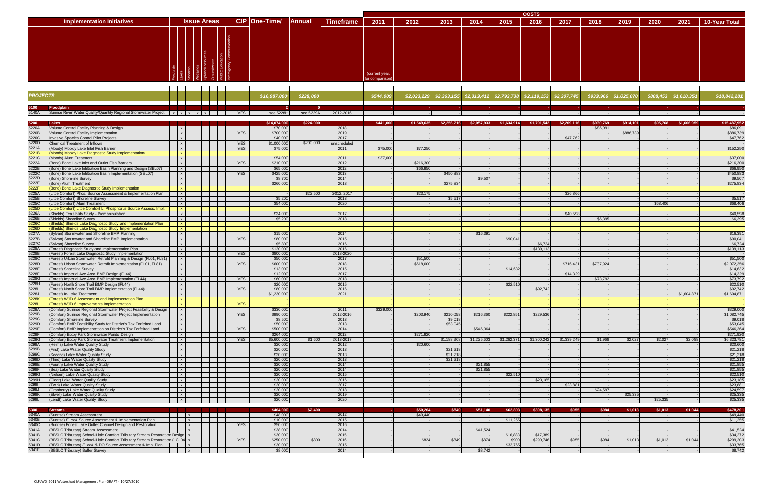|                                   |                    |                           |                         |                  | <b>COSTS</b>                     |      |      |      |      |      |                                                                                     |      |      |      |                           |                            |  |
|-----------------------------------|--------------------|---------------------------|-------------------------|------------------|----------------------------------|------|------|------|------|------|-------------------------------------------------------------------------------------|------|------|------|---------------------------|----------------------------|--|
| <b>Implementation Initiatives</b> | <b>Issue Areas</b> | CIP One-Time/             | Annual                  | <b>Timeframe</b> | 2011                             | 2012 | 2013 | 2014 | 2015 | 2016 | 2017                                                                                | 2018 | 2019 | 2020 | 2021                      | <b>10-Year Total</b>       |  |
|                                   |                    |                           |                         |                  | (current year,<br>for comparison |      |      |      |      |      |                                                                                     |      |      |      |                           |                            |  |
| <b>DOO IFOTO</b>                  |                    | <b><i>Alaman Anal</i></b> | <b><i>CARRA BAR</i></b> |                  | <b><i>American</i></b>           |      |      |      |      |      | المسمعهم نمامهم مممم التسليم ممامعته مترمم امسلمها مراجع بمحمد البريعية ممممم ممممم |      |      |      | التسم منميم لما المستحمصة | <b><i>ALAMANA ARAL</i></b> |  |

| <b>PROJECTS</b> |                                                                                                                           |              |                              |  |            | \$16,987,00           | \$228,000 |              | \$544,00  | \$2,023,229 | \$2,363,155         | \$2,313,412 | \$2,793,738 | \$2,119,153 | \$2,307,74  | \$933,96  | \$1,025,070 | \$808,453 | \$1,610,351 | \$18,842,281          |
|-----------------|---------------------------------------------------------------------------------------------------------------------------|--------------|------------------------------|--|------------|-----------------------|-----------|--------------|-----------|-------------|---------------------|-------------|-------------|-------------|-------------|-----------|-------------|-----------|-------------|-----------------------|
|                 | <b>Floodplain</b>                                                                                                         |              |                              |  |            |                       |           |              |           |             |                     |             |             |             |             |           |             |           |             |                       |
| 5140A           | Sunrise River Water Quality/Quantity Regional Stormwater Project $x \mid x \mid x \mid x \mid x \mid$                     |              |                              |  |            | see 5228H             | see 5229A | 2012-2016    |           |             |                     |             |             |             |             |           |             |           |             |                       |
|                 |                                                                                                                           |              |                              |  |            |                       |           |              |           |             |                     |             |             |             |             |           |             |           |             |                       |
| 5200            | Lakes                                                                                                                     |              |                              |  |            | \$14.074.000          | \$224,000 |              | \$441.000 | \$1,549,635 | \$2,256,216         | \$2,057,933 | \$1.634.914 | \$1,791,542 | \$2,209,116 | \$930.769 | \$914,101   | \$95,768  | \$1,606,959 | \$15,487.952          |
| 5220A<br>5220B  | Volume Control Facility Planning & Design                                                                                 |              | $\mathsf{x}$                 |  |            | \$70,000<br>\$700,000 |           | 2018<br>2019 |           |             |                     |             |             |             |             | \$86,091  | \$886,739   |           |             | \$86,091<br>\$886,739 |
| 5220C           | Volume Control Facility Implementation<br>Invasive Species Control Pilot Projects                                         | $\mathsf{x}$ | $\mathsf{x}$                 |  | <b>YES</b> | \$40,000              |           | 2017         |           |             |                     |             |             |             | \$47,76     |           |             |           |             | \$47,762              |
| 5220D           | <b>Chemical Treatment of Inflows</b>                                                                                      |              | $\mathsf{x}$                 |  | <b>YES</b> | \$1,000,000           | \$200,000 | unscheduled  |           |             |                     |             |             |             |             |           |             |           |             |                       |
| 5221A           | (Moody) Moody Lake Inlet Fish Barrier                                                                                     |              | $\times$                     |  | <b>YES</b> | \$75,000              |           | 2011         | \$75,000  | \$77,25     |                     |             |             |             |             |           |             |           |             | \$152,250             |
| 5221B           | (Moody) Moody Lake Diagnostic Study Implementation                                                                        |              | $\mathbf{x}$                 |  |            |                       |           |              |           |             |                     |             |             |             |             |           |             |           |             |                       |
| 5221C           | (Moody) Alum Treatment                                                                                                    |              | $\times$                     |  |            | \$54,000              |           | 2011         | \$37,000  |             |                     |             |             |             |             |           |             |           |             | \$37,000              |
| 5222A           | (Bone) Bone Lake Inlet and Outlet Fish Barriers                                                                           |              | $\mathbf{x}$                 |  | <b>YES</b> | \$210,000             |           | 2012         |           | \$216,30    |                     |             |             |             |             |           |             |           |             | \$216,300             |
| 5222B           | (Bone) Bone Lake Infiltration Basin Planning and Design (SBL07)                                                           |              | $\mathsf{x}$                 |  |            | \$65,000              |           | 2012         |           | \$66,950    |                     |             |             |             |             |           |             |           |             | \$66,950              |
| 5222C           | (Bone) Bone Lake Infiltration Basin Implementation (SBL07)<br>(Bone) Shoreline Survey                                     |              | $\mathsf{x}$<br>$\mathbf{x}$ |  | <b>YES</b> | \$425,000<br>\$8,700  |           | 2013<br>2014 |           |             | \$450,883           | \$9,50      |             |             |             |           |             |           |             | \$450,883<br>\$9,507  |
| 5222D<br>5222E  | (Bone) Alum Treatment                                                                                                     |              | $\mathsf{X}$                 |  |            | \$260,000             |           | 2013         |           |             | \$275,834           |             |             |             |             |           |             |           |             | \$275,834             |
| 5222F           | (Bone) Bone Lake Diagnostic Study Implementation                                                                          |              | $\mathbf{x}$                 |  |            |                       |           |              |           |             |                     |             |             |             |             |           |             |           |             |                       |
| 5225A           | (Little Comfort) Phos. Source Assessment & Implementation Plan                                                            |              | $\mathsf{x}$                 |  |            |                       | \$22,500  | 2012, 2017   |           | \$23,17     |                     |             |             |             | \$26.86     |           |             |           |             |                       |
| 5225B           | (Little Comfort) Shoreline Survey                                                                                         |              | $\times$                     |  |            | \$5,200               |           | 2013         |           |             | \$5,51              |             |             |             |             |           |             |           |             | \$5,517               |
| 5225C           | (Little Comfort) Alum Treatment                                                                                           |              | $\times$                     |  |            | \$54,000              |           | 2020         |           |             |                     |             |             |             |             |           |             | \$68,406  |             | \$68,406              |
| 5225D           | (Little Comfort) Little Comfort L. Phosphorus Source Assess. Impl.                                                        |              | $\mathbf{x}$                 |  |            |                       |           |              |           |             |                     |             |             |             |             |           |             |           |             |                       |
| 5226A           | (Shields) Feasibility Study - Biomanipulation                                                                             |              | $\mathsf{x}$                 |  |            | \$34,000              |           | 2017         |           |             |                     |             |             |             | \$40.59     |           |             |           |             | \$40,598              |
| 5226B<br>5226C  | (Shields) Shoreline Survey                                                                                                |              | $\times$                     |  |            | \$5,200               |           | 2018         |           |             |                     |             |             |             |             | \$6,395   |             |           |             | \$6,395               |
| 5226D           | (Shields) Shields Lake Diagnostic Study and Implementation Plan<br>(Shields) Shields Lake Diagnostic Study Implementation |              | $\mathbf{x}$<br>$\mathbf{x}$ |  |            |                       |           |              |           |             |                     |             |             |             |             |           |             |           |             |                       |
| 5227A           | (Sylvan) Stormwater and Shoreline BMP Planning                                                                            |              | $\mathsf{x}$                 |  |            | \$15,000              |           | 2014         |           |             |                     | \$16,39     |             |             |             |           |             |           |             | \$16,391              |
| 5227B           | (Sylvan) Stormwater and Shoreline BMP Implementation                                                                      |              | $\mathsf{x}$                 |  | <b>YES</b> | \$80,000              |           | 2015         |           |             |                     |             | \$90,04     |             |             |           |             |           |             | \$90.041              |
| 5227C           | (Sylvan) Shoreline Survey                                                                                                 |              | $\mathbf{x}$                 |  |            | \$5,800               |           | 2016         |           |             |                     |             |             | \$6,72      |             |           |             |           |             | \$6,724               |
| 5228A           | (Forest) Diagnostic Study and Implementation Plan                                                                         |              | $\mathsf{x}$                 |  |            | \$120,000             |           | 2016         |           |             |                     |             |             | \$139,11    |             |           |             |           |             | \$139,113             |
| 5228B           | (Forest) Forest Lake Diagnostic Study Implementation                                                                      |              | $\mathsf{x}$                 |  | <b>YES</b> | \$800,000             |           | 2018-2020    |           |             |                     |             |             |             |             |           |             |           |             |                       |
| 5228C           | (Forest) Urban Stormwater Retrofit Planning & Design (FL01, FL81)                                                         |              | $\mathsf{x}$                 |  |            | \$50,000              |           | 2017         |           | \$51,500    |                     |             |             |             |             |           |             |           |             | \$51,500              |
| 5228D           | (Forest) Urban Stormwater Retrofit Implementation (FL01, FL81)                                                            |              | $\mathsf{x}$                 |  | <b>YES</b> | \$600,000             |           | 2018         |           | \$618,00    |                     |             |             |             | \$716,43    | \$737,924 |             |           |             | \$2,072,356           |
| 5228E<br>5228F  | (Forest) Shoreline Survey<br>(Forest) Imperial Ave Area BMP Design (FL44)                                                 |              | $\mathsf{x}$<br>$\times$     |  |            | \$13,000<br>\$12,000  |           | 2015<br>2017 |           |             |                     |             | \$14,632    |             | \$14.329    |           |             |           |             | \$14,632<br>\$14,329  |
| 5228G           | (Forest) Imperial Ave Area BMP Implementation (FL44)                                                                      |              | $\mathsf{x}$                 |  | <b>YES</b> | \$60,000              |           | 2018         |           |             |                     |             |             |             |             | \$73,792  |             |           |             | \$73,792              |
| 5228H           | (Forest) North Shore Trail BMP Design (FL44)                                                                              |              | $\mathsf{x}$                 |  |            | \$20,000              |           | 2015         |           |             |                     |             | \$22,510    |             |             |           |             |           |             | \$22,510              |
| 52281           | (Forest) North Shore Trail BMP Implementation (FL44)                                                                      |              | $\times$                     |  | <b>YES</b> | \$80,000              |           | 2016         |           |             |                     |             |             | \$92,74     |             |           |             |           |             | \$92,742              |
| 5228J           | (Forest) In-Lake Treatment                                                                                                |              | $\mathsf{x}$                 |  |            | \$1,230,000           |           | 2021         |           |             |                     |             |             |             |             |           |             |           | \$1,604,871 | \$1,604,871           |
| 5228K           | (Forest) WJD 6 Assessment and Implementation Plan                                                                         |              | $\mathbf{x}$                 |  |            |                       |           |              |           |             |                     |             |             |             |             |           |             |           |             |                       |
| 5228L           | (Forest) WJD 6 Improvements Implementation                                                                                |              | $\mathbf{x}$                 |  | <b>YES</b> |                       |           |              |           |             |                     |             |             |             |             |           |             |           |             |                       |
| 5229A           | (Comfort) Sunrise Regional Stormwater Project Feasibility & Design                                                        |              | $\mathsf{X}$                 |  |            | \$330,000             |           | 2011         | \$329.00  |             |                     |             |             |             |             |           |             |           |             | \$329,000             |
| 5229B           | (Comfort) Sunrise Regional Stormwater Project Implementation                                                              |              | $\mathsf{x}$<br>$\times$     |  | <b>YES</b> | \$990,000             |           | 2012-2016    |           | \$203,94    | \$210,058           | \$216,360   | \$222,85    | \$229,53    |             |           |             |           |             | \$1,082,745           |
| 5229C<br>5229D  | (Comfort) Shoreline Survey<br>(Comfort) BMP Feasibility Study for District's Tax Forfeited Land                           |              | $\mathbf{x}$                 |  |            | \$8,500<br>\$50,000   |           | 2013<br>2013 |           |             | \$9,018<br>\$53,045 |             |             |             |             |           |             |           |             | \$9,018<br>\$53,045   |
| 5229E           | (Comfort) BMP Implementation on District's Tax Forfeited Land                                                             |              | $\mathbf{x}$                 |  | <b>YES</b> | \$500,000             |           | 2014         |           |             |                     | \$546,364   |             |             |             |           |             |           |             | \$546,364             |
| 5229F           | (Comfort) Bixby Park Stormwater Ponds Design                                                                              |              | $\mathsf{x}$                 |  |            | \$264,000             |           | 2012         |           | \$271.92    |                     |             |             |             |             |           |             |           |             | \$271,920             |
| 5229G           | (Comfort) Bixby Park Stormwater Treatment Implementation                                                                  |              | $\mathsf{x}$                 |  | <b>YES</b> | \$5,600,000           | \$1,600   | 2013-2017    |           |             | \$1,188,208         | \$1,225,603 | \$1,262,37' | \$1,300,24  | \$1,339,249 | \$1,968   | \$2,027     | \$2,027   | \$2,088     | \$6,323,781           |
| 5299A           | (Heims) Lake Water Quality Study                                                                                          |              | $\times$                     |  |            | \$20,000              |           | 2012         |           | \$20,600    |                     |             |             |             |             |           |             |           |             | \$20,600              |
| 5299B           | (First) Lake Water Quality Study                                                                                          | $\mathsf{x}$ |                              |  |            | \$20,000              |           | 2013         |           |             | \$21,21             |             |             |             |             |           |             |           |             | \$21,218              |
| 5299C           | (Second) Lake Water Quality Study                                                                                         |              | $\mathbf{x}$                 |  |            | \$20,000              |           | 2013         |           |             | \$21,218            |             |             |             |             |           |             |           |             | \$21,218              |
| 5299D<br>5299E  | (Third) Lake Water Quality Study                                                                                          |              | $\times$<br>x                |  |            | \$20,000<br>\$20,000  |           | 2013<br>2014 |           |             | \$21,218            | \$21,855    |             |             |             |           |             |           |             | \$21,218<br>\$21,855  |
| 5299F           | (Fourth) Lake Water Quality Study<br>(Sea) Lake Water Quality Study                                                       |              | $\mathbf{x}$                 |  |            | \$20,000              |           | 2014         |           |             |                     | \$21,855    |             |             |             |           |             |           |             | \$21,855              |
| 5299G           | (Nielsen) Lake Water Quality Study                                                                                        |              | $\mathsf{x}$                 |  |            | \$20,000              |           | 2015         |           |             |                     |             | \$22,510    |             |             |           |             |           |             | \$22,510              |
| 5299H           | (Clear) Lake Water Quality Study                                                                                          |              | $\mathsf{x}$                 |  |            | \$20,000              |           | 2016         |           |             |                     |             |             | \$23,18     |             |           |             |           |             | \$23,185              |
| 52991           | (Twin) Lake Water Quality Study                                                                                           | $\mathsf{x}$ |                              |  |            | \$20,000              |           | 2017         |           |             |                     |             |             |             | \$23,88'    |           |             |           |             | \$23,881              |
| 5299J           | (Cranberry) Lake Water Quality Study                                                                                      | $\mathsf{x}$ |                              |  |            | \$20,000              |           | 2018         |           |             |                     |             |             |             |             | \$24,59   |             |           |             | \$24,597              |
| 5299K           | (Elwell) Lake Water Quality Study                                                                                         |              | $\mathsf{x}$                 |  |            | \$20,000              |           | 2019         |           |             |                     |             |             |             |             |           | \$25,335    |           |             | \$25,335              |
| 5299L           | (Lendt) Lake Water Quality Study                                                                                          |              | x                            |  |            | \$20,000              |           | 2020         |           |             |                     |             |             |             |             |           |             | \$25,335  |             | \$25.335              |
|                 |                                                                                                                           |              |                              |  |            |                       |           |              |           |             |                     |             |             |             |             |           |             |           |             |                       |

| 5300  | Stream:                                                                     |  |  |            | 6464,000                | \$2.400 |      | \$50,264 |      | \$51.140 | \$62,803 | \$308.135 |       | <b>ARA</b> | 1.013 | \$1.013 | \$1,044 | \$478,201 |
|-------|-----------------------------------------------------------------------------|--|--|------------|-------------------------|---------|------|----------|------|----------|----------|-----------|-------|------------|-------|---------|---------|-----------|
| 5340A | (Sunrise) Stream Assessment                                                 |  |  |            | \$48,000                |         | 2012 | \$49,440 |      |          |          |           |       |            |       |         |         | \$49,440  |
| 5340B | (Sunrise) E. coli Source Assessment & Implementation Plan                   |  |  |            | \$10,000                |         | 2015 |          |      |          | \$11,255 |           |       |            |       |         |         | \$11,255  |
| 5340C | (Sunrise) Forest Lake Outlet Channel Design and Restoration                 |  |  | <b>YES</b> | \$50,000<br>\$38,000    |         | 2016 |          |      |          |          |           |       |            |       |         |         |           |
| 5341A | (BBSLC Tributary) Stream Assessment                                         |  |  |            |                         |         | 2014 |          |      | \$41.524 |          |           |       |            |       |         |         | \$41,524  |
| 5341B | (BBSLC Tributary) School-Little Comfort Tributary Stream Restoration Design |  |  |            | $$30,000$<br>$$250,000$ |         | 2015 |          |      |          | \$16,883 | \$17,389  |       |            |       |         |         | \$34,272  |
| 5341C | (BBSLC Tributary) School-Little Comfort Tributary Stream Restoration (LCL04 |  |  | <b>YES</b> |                         | \$800   | 2016 | \$824    | 0.04 |          |          | \$290 746 | \$955 | 5984       |       | \$1.013 | \$1,044 | \$299,203 |
| 5341D | (BBSLC Tributary) E. coli & DO Source Assessment & Imp. Plan                |  |  |            | $$30,000$<br>$$8,000$   |         | 2015 |          |      |          | \$33,765 |           |       |            |       |         |         | \$33,765  |
| 5341E | (BBSLC Tributary) Buffer Survey                                             |  |  |            |                         |         | 2014 |          |      | \$8,742  |          |           |       |            |       |         |         | \$8,742   |